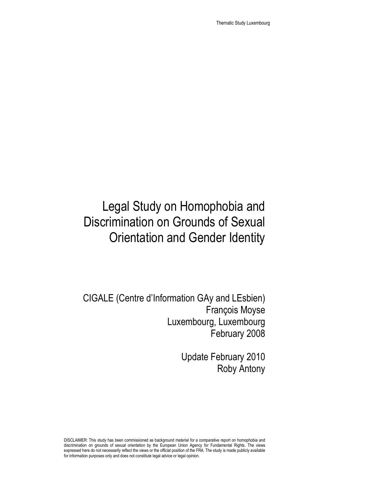Thematic Study Luxembourg

# Legal Study on Homophobia and Discrimination on Grounds of Sexual Orientation and Gender Identity

CIGALE (Centre d'Information GAy and LEsbien) François Moyse Luxembourg, Luxembourg February 2008

> Update February 2010 Roby Antony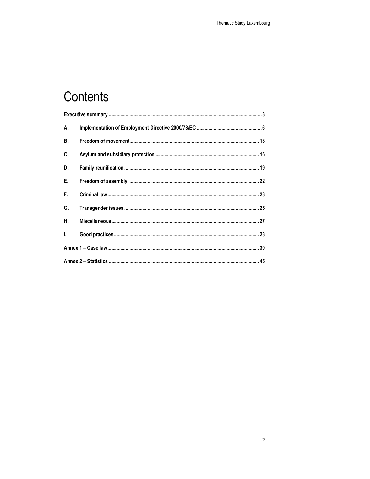# Contents

| А.           |  |
|--------------|--|
| <b>B.</b>    |  |
| C.           |  |
| D.           |  |
| Е.           |  |
| F.           |  |
| G.           |  |
| Н.           |  |
| $\mathbf{L}$ |  |
|              |  |
|              |  |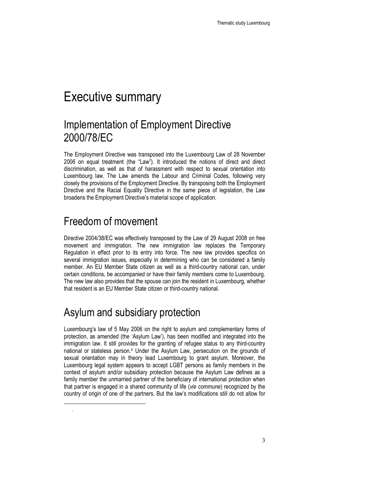## Executive summary

### Implementation of Employment Directive 2000/78/EC

The Employment Directive was transposed into the Luxembourg Law of 28 November 2006 on equal treatment (the "Law"). It introduced the notions of direct and direct discrimination, as well as that of harassment with respect to sexual orientation into Luxembourg law. The Law amends the Labour and Criminal Codes, following very closely the provisions of the Employment Directive. By transposing both the Employment Directive and the Racial Equality Directive in the same piece of legislation, the Law broadens the Employment Directive's material scope of application.

### Freedom of movement

 $\ddot{ }$ .

Directive 2004/38/EC was effectively transposed by the Law of 29 August 2008 on free movement and immigration. The new immigration law replaces the Temporary Regulation in effect prior to its entry into force. The new law provides specifics on several immigration issues, especially in determining who can be considered a family member. An EU Member State citizen as well as a third-country national can, under certain conditions, be accompanied or have their family members come to Luxembourg. The new law also provides that the spouse can join the resident in Luxembourg, whether that resident is an EU Member State citizen or third-country national.

### Asylum and subsidiary protection

Luxembourg's law of 5 May 2006 on the right to asylum and complementary forms of protection, as amended (the 'Asylum Law'), has been modified and integrated into the immigration law. It still provides for the granting of refugee status to any third-country national or stateless person.<sup>4</sup> Under the Asylum Law, persecution on the grounds of sexual orientation may in theory lead Luxembourg to grant asylum. Moreover, the Luxembourg legal system appears to accept LGBT persons as family members in the context of asylum and/or subsidiary protection because the Asylum Law defines as a family member the unmarried partner of the beneficiary of international protection when that partner is engaged in a shared community of life (vie commune) recognized by the country of origin of one of the partners. But the law's modifications still do not allow for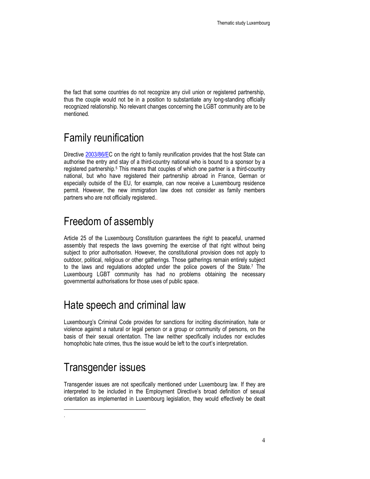the fact that some countries do not recognize any civil union or registered partnership, thus the couple would not be in a position to substantiate any long-standing officially recognized relationship. No relevant changes concerning the LGBT community are to be mentioned.

### Family reunification

Directive 2003/86/EC on the right to family reunification provides that the host State can authorise the entry and stay of a third-country national who is bound to a sponsor by a registered partnership.<sup>5</sup> This means that couples of which one partner is a third-country national, but who have registered their partnership abroad in France, German or especially outside of the EU, for example, can now receive a Luxembourg residence permit. However, the new immigration law does not consider as family members partners who are not officially registered..

### Freedom of assembly

Article 25 of the Luxembourg Constitution guarantees the right to peaceful, unarmed assembly that respects the laws governing the exercise of that right without being subject to prior authorisation. However, the constitutional provision does not apply to outdoor, political, religious or other gatherings. Those gatherings remain entirely subject to the laws and regulations adopted under the police powers of the State.<sup>7</sup> The Luxembourg LGBT community has had no problems obtaining the necessary governmental authorisations for those uses of public space.

### Hate speech and criminal law

Luxembourg's Criminal Code provides for sanctions for inciting discrimination, hate or violence against a natural or legal person or a group or community of persons, on the basis of their sexual orientation. The law neither specifically includes nor excludes homophobic hate crimes, thus the issue would be left to the court's interpretation.

### Transgender issues

 $\ddot{ }$ .

Transgender issues are not specifically mentioned under Luxembourg law. If they are interpreted to be included in the Employment Directive's broad definition of sexual orientation as implemented in Luxembourg legislation, they would effectively be dealt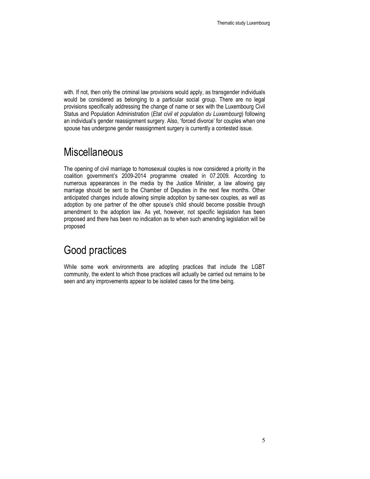with. If not, then only the criminal law provisions would apply, as transgender individuals would be considered as belonging to a particular social group. There are no legal provisions specifically addressing the change of name or sex with the Luxembourg Civil Status and Population Administration (Etat civil et population du Luxembourg) following an individual's gender reassignment surgery. Also, 'forced divorce' for couples when one spouse has undergone gender reassignment surgery is currently a contested issue.

### **Miscellaneous**

The opening of civil marriage to homosexual couples is now considered a priority in the coalition government's 2009-2014 programme created in 07.2009. According to numerous appearances in the media by the Justice Minister, a law allowing gay marriage should be sent to the Chamber of Deputies in the next few months. Other anticipated changes include allowing simple adoption by same-sex couples, as well as adoption by one partner of the other spouse's child should become possible through amendment to the adoption law. As yet, however, not specific legislation has been proposed and there has been no indication as to when such amending legislation will be proposed

### Good practices

While some work environments are adopting practices that include the LGBT community, the extent to which those practices will actually be carried out remains to be seen and any improvements appear to be isolated cases for the time being.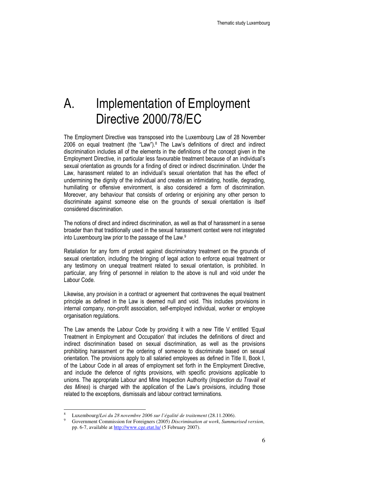## A. Implementation of Employment Directive 2000/78/EC

The Employment Directive was transposed into the Luxembourg Law of 28 November 2006 on equal treatment (the "Law").<sup>8</sup> The Law's definitions of direct and indirect discrimination includes all of the elements in the definitions of the concept given in the Employment Directive, in particular less favourable treatment because of an individual's sexual orientation as grounds for a finding of direct or indirect discrimination. Under the Law, harassment related to an individual's sexual orientation that has the effect of undermining the dignity of the individual and creates an intimidating, hostile, degrading, humiliating or offensive environment, is also considered a form of discrimination. Moreover, any behaviour that consists of ordering or enjoining any other person to discriminate against someone else on the grounds of sexual orientation is itself considered discrimination.

The notions of direct and indirect discrimination, as well as that of harassment in a sense broader than that traditionally used in the sexual harassment context were not integrated into Luxembourg law prior to the passage of the Law. 9

Retaliation for any form of protest against discriminatory treatment on the grounds of sexual orientation, including the bringing of legal action to enforce equal treatment or any testimony on unequal treatment related to sexual orientation, is prohibited. In particular, any firing of personnel in relation to the above is null and void under the Labour Code.

Likewise, any provision in a contract or agreement that contravenes the equal treatment principle as defined in the Law is deemed null and void. This includes provisions in internal company, non-profit association, self-employed individual, worker or employee organisation regulations.

The Law amends the Labour Code by providing it with a new Title V entitled 'Equal Treatment in Employment and Occupation' that includes the definitions of direct and indirect discrimination based on sexual discrimination, as well as the provisions prohibiting harassment or the ordering of someone to discriminate based on sexual orientation. The provisions apply to all salaried employees as defined in Title II, Book I, of the Labour Code in all areas of employment set forth in the Employment Directive, and include the defence of rights provisions, with specific provisions applicable to unions. The appropriate Labour and Mine Inspection Authority (Inspection du Travail et des Mines) is charged with the application of the Law's provisions, including those related to the exceptions, dismissals and labour contract terminations.

<sup>8</sup> Luxembourg/*Loi du 28 novembre 2006 sur l'égalité de traitement* (28.11.2006).

<sup>9</sup> Government Commission for Foreigners (2005) *Discrimination at work*, *Summarised version*, pp. 6-7, available at http://www.cge.etat.lu/ (5 February 2007).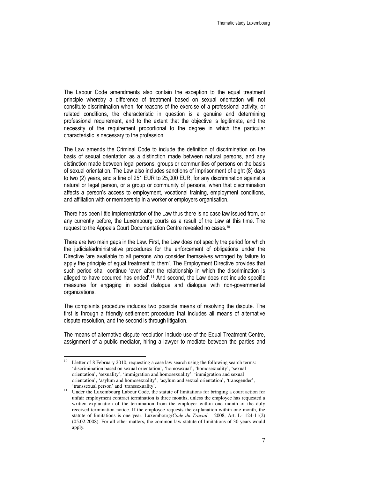The Labour Code amendments also contain the exception to the equal treatment principle whereby a difference of treatment based on sexual orientation will not constitute discrimination when, for reasons of the exercise of a professional activity, or related conditions, the characteristic in question is a genuine and determining professional requirement, and to the extent that the objective is legitimate, and the necessity of the requirement proportional to the degree in which the particular characteristic is necessary to the profession.

The Law amends the Criminal Code to include the definition of discrimination on the basis of sexual orientation as a distinction made between natural persons, and any distinction made between legal persons, groups or communities of persons on the basis of sexual orientation. The Law also includes sanctions of imprisonment of eight (8) days to two (2) years, and a fine of 251 EUR to 25,000 EUR, for any discrimination against a natural or legal person, or a group or community of persons, when that discrimination affects a person's access to employment, vocational training, employment conditions, and affiliation with or membership in a worker or employers organisation.

There has been little implementation of the Law thus there is no case law issued from, or any currently before, the Luxembourg courts as a result of the Law at this time. The request to the Appeals Court Documentation Centre revealed no cases.<sup>10</sup>

There are two main gaps in the Law. First, the Law does not specify the period for which the judicial/administrative procedures for the enforcement of obligations under the Directive 'are available to all persons who consider themselves wronged by failure to apply the principle of equal treatment to them'. The Employment Directive provides that such period shall continue 'even after the relationship in which the discrimination is alleged to have occurred has ended'.11 And second, the Law does not include specific measures for engaging in social dialogue and dialogue with non-governmental organizations.

The complaints procedure includes two possible means of resolving the dispute. The first is through a friendly settlement procedure that includes all means of alternative dispute resolution, and the second is through litigation.

The means of alternative dispute resolution include use of the Equal Treatment Centre, assignment of a public mediator, hiring a lawyer to mediate between the parties and

 $10<sup>10</sup>$ Lletter of 8 February 2010, requesting a case law search using the following search terms: 'discrimination based on sexual orientation', 'homosexual', 'homosexuality', 'sexual orientation', 'sexuality', 'immigration and homosexuality', 'immigration and sexual orientation', 'asylum and homosexuality', 'asylum and sexual orientation', 'transgender', 'transsexual person' and 'transsexuality'.

<sup>11</sup> Under the Luxembourg Labour Code, the statute of limitations for bringing a court action for unfair employment contract termination is three months, unless the employee has requested a written explanation of the termination from the employer within one month of the duly received termination notice. If the employee requests the explanation within one month, the statute of limitations is one year. Luxembourg/*Code du Travail* – 2008, Art. L- 124-11(2) (05.02.2008). For all other matters, the common law statute of limitations of 30 years would apply.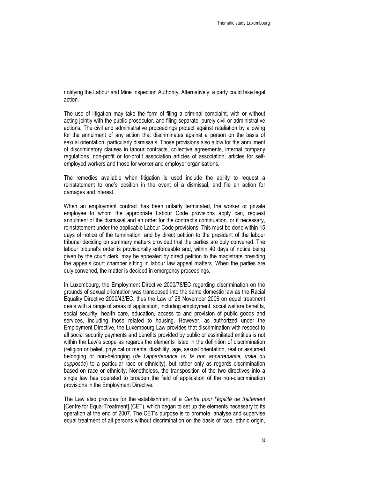notifying the Labour and Mine Inspection Authority. Alternatively, a party could take legal action.

The use of litigation may take the form of filing a criminal complaint, with or without acting jointly with the public prosecutor, and filing separate, purely civil or administrative actions. The civil and administrative proceedings protect against retaliation by allowing for the annulment of any action that discriminates against a person on the basis of sexual orientation, particularly dismissals. Those provisions also allow for the annulment of discriminatory clauses in labour contracts, collective agreements, internal company regulations, non-profit or for-profit association articles of association, articles for selfemployed workers and those for worker and employer organisations.

The remedies available when litigation is used include the ability to request a reinstatement to one's position in the event of a dismissal, and file an action for damages and interest.

When an employment contract has been unfairly terminated, the worker or private employee to whom the appropriate Labour Code provisions apply can, request annulment of the dismissal and an order for the contract's continuation, or if necessary, reinstatement under the applicable Labour Code provisions. This must be done within 15 days of notice of the termination, and by direct petition to the president of the labour tribunal deciding on summary matters provided that the parties are duly convened. The labour tribunal's order is provisionally enforceable and, within 40 days of notice being given by the court clerk, may be appealed by direct petition to the magistrate presiding the appeals court chamber sitting in labour law appeal matters. When the parties are duly convened, the matter is decided in emergency proceedings.

In Luxembourg, the Employment Directive 2000/78/EC regarding discrimination on the grounds of sexual orientation was transposed into the same domestic law as the Racial Equality Directive 2000/43/EC, thus the Law of 28 November 2006 on equal treatment deals with a range of areas of application, including employment, social welfare benefits, social security, health care, education, access to and provision of public goods and services, including those related to housing. However, as authorized under the Employment Directive, the Luxembourg Law provides that discrimination with respect to all social security payments and benefits provided by public or assimilated entities is not within the Law's scope as regards the elements listed in the definition of discrimination (religion or belief, physical or mental disability, age, sexual orientation, real or assumed belonging or non-belonging (de l'appartenance ou la non appartenance, vraie ou supposée) to a particular race or ethnicity), but rather only as regards discrimination based on race or ethnicity. Nonetheless, the transposition of the two directives into a single law has operated to broaden the field of application of the non-discrimination provisions in the Employment Directive.

The Law also provides for the establishment of a Centre pour l'égalité de traitement [Centre for Equal Treatment] (CET), which began to set up the elements necessary to its operation at the end of 2007. The CET's purpose is to promote, analyse and supervise equal treatment of all persons without discrimination on the basis of race, ethnic origin,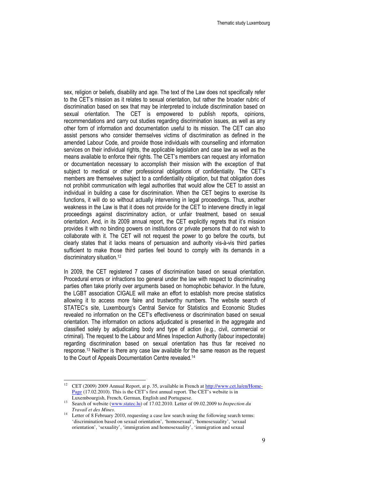sex, religion or beliefs, disability and age. The text of the Law does not specifically refer to the CET's mission as it relates to sexual orientation, but rather the broader rubric of discrimination based on sex that may be interpreted to include discrimination based on sexual orientation. The CET is empowered to publish reports, opinions, recommendations and carry out studies regarding discrimination issues, as well as any other form of information and documentation useful to its mission. The CET can also assist persons who consider themselves victims of discrimination as defined in the amended Labour Code, and provide those individuals with counselling and information services on their individual rights, the applicable legislation and case law as well as the means available to enforce their rights. The CET's members can request any information or documentation necessary to accomplish their mission with the exception of that subject to medical or other professional obligations of confidentiality. The CET's members are themselves subject to a confidentiality obligation, but that obligation does not prohibit communication with legal authorities that would allow the CET to assist an individual in building a case for discrimination. When the CET begins to exercise its functions, it will do so without actually intervening in legal proceedings. Thus, another weakness in the Law is that it does not provide for the CET to intervene directly in legal proceedings against discriminatory action, or unfair treatment, based on sexual orientation. And, in its 2009 annual report, the CET explicitly regrets that it's mission provides it with no binding powers on institutions or private persons that do not wish to collaborate with it. The CET will not request the power to go before the courts, but clearly states that it lacks means of persuasion and authority vis-à-vis third parties sufficient to make those third parties feel bound to comply with its demands in a discriminatory situation.<sup>12</sup>

In 2009, the CET registered 7 cases of discrimination based on sexual orientation. Procedural errors or infractions too general under the law with respect to discriminating parties often take priority over arguments based on homophobic behavior. In the future, the LGBT association CIGALE will make an effort to establish more precise statistics allowing it to access more faire and trustworthy numbers. The website search of STATEC's site, Luxembourg's Central Service for Statistics and Economic Studies revealed no information on the CET's effectiveness or discrimination based on sexual orientation. The information on actions adjudicated is presented in the aggregate and classified solely by adjudicating body and type of action (e.g., civil, commercial or criminal). The request to the Labour and Mines Inspection Authority (labour inspectorate) regarding discrimination based on sexual orientation has thus far received no response.13 Neither is there any case law available for the same reason as the request to the Court of Appeals Documentation Centre revealed.<sup>14</sup>

<sup>&</sup>lt;sup>12</sup> CET (2009) 2009 Annual Report, at p. 35, available in French at http://www.cet.lu/en/Home-Page (17.02.2010). This is the CET's first annual report. The CET's website is in Luxembourgish, French, German, English and Portuguese.

<sup>13</sup> Search of website (www.statec.lu) of 17.02.2010. Letter of 09.02.2009 to *Inspection du Travail et des Mines*.

<sup>&</sup>lt;sup>14</sup> Letter of 8 February 2010, requesting a case law search using the following search terms: 'discrimination based on sexual orientation', 'homosexual', 'homosexuality', 'sexual orientation', 'sexuality', 'immigration and homosexuality', 'immigration and sexual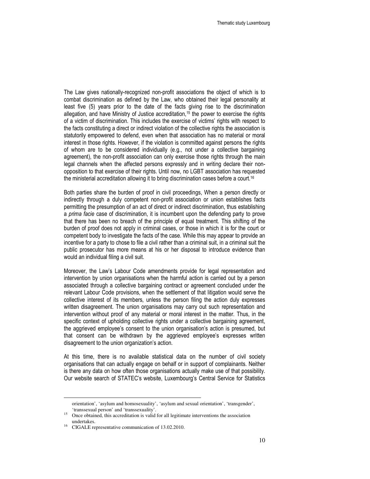The Law gives nationally-recognized non-profit associations the object of which is to combat discrimination as defined by the Law, who obtained their legal personality at least five (5) years prior to the date of the facts giving rise to the discrimination allegation, and have Ministry of Justice accreditation,<sup>15</sup> the power to exercise the rights of a victim of discrimination. This includes the exercise of victims' rights with respect to the facts constituting a direct or indirect violation of the collective rights the association is statutorily empowered to defend, even when that association has no material or moral interest in those rights. However, if the violation is committed against persons the rights of whom are to be considered individually (e.g., not under a collective bargaining agreement), the non-profit association can only exercise those rights through the main legal channels when the affected persons expressly and in writing declare their nonopposition to that exercise of their rights. Until now, no LGBT association has requested the ministerial accreditation allowing it to bring discrimination cases before a court.<sup>16</sup>

Both parties share the burden of proof in civil proceedings, When a person directly or indirectly through a duly competent non-profit association or union establishes facts permitting the presumption of an act of direct or indirect discrimination, thus establishing a prima facie case of discrimination, it is incumbent upon the defending party to prove that there has been no breach of the principle of equal treatment. This shifting of the burden of proof does not apply in criminal cases, or those in which it is for the court or competent body to investigate the facts of the case. While this may appear to provide an incentive for a party to chose to file a civil rather than a criminal suit, in a criminal suit the public prosecutor has more means at his or her disposal to introduce evidence than would an individual filing a civil suit.

Moreover, the Law's Labour Code amendments provide for legal representation and intervention by union organisations when the harmful action is carried out by a person associated through a collective bargaining contract or agreement concluded under the relevant Labour Code provisions, when the settlement of that litigation would serve the collective interest of its members, unless the person filing the action duly expresses written disagreement. The union organisations may carry out such representation and intervention without proof of any material or moral interest in the matter. Thus, in the specific context of upholding collective rights under a collective bargaining agreement, the aggrieved employee's consent to the union organisation's action is presumed, but that consent can be withdrawn by the aggrieved employee's expresses written disagreement to the union organization's action.

At this time, there is no available statistical data on the number of civil society organisations that can actually engage on behalf or in support of complainants. Neither is there any data on how often those organisations actually make use of that possibility. Our website search of STATEC's website, Luxembourg's Central Service for Statistics

orientation', 'asylum and homosexuality', 'asylum and sexual orientation', 'transgender', 'transsexual person' and 'transsexuality'.

<sup>&</sup>lt;sup>15</sup> Once obtained, this accreditation is valid for all legitimate interventions the association undertakes.

<sup>&</sup>lt;sup>16</sup> CIGALE representative communication of 13.02.2010.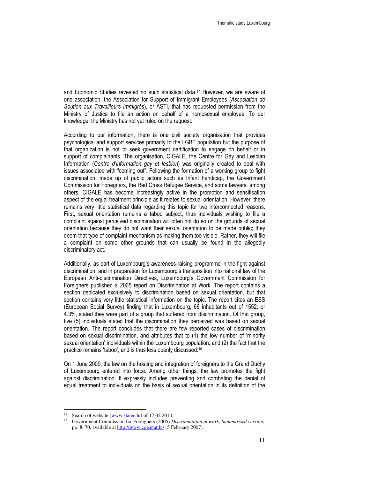and Economic Studies revealed no such statistical data.17 However, we are aware of one association, the Association for Support of Immigrant Employees (Association de Soutien aux Travailleurs Immigrés), or ASTI, that has requested permission from the Ministry of Justice to file an action on behalf of a homosexual employee. To our knowledge, the Ministry has not yet ruled on the request.

According to our information, there is one civil society organisation that provides psychological and support services primarily to the LGBT population but the purpose of that organization is not to seek government certification to engage on behalf or in support of complainants. The organisation, CIGALE, the Centre for Gay and Lesbian Information (Centre d'information gay et lesbien) was originally created to deal with issues associated with "coming out". Following the formation of a working group to fight discrimination, made up of public actors such as Infant handicap, the Government Commission for Foreigners, the Red Cross Refugee Service, and some lawyers, among others, CIGALE has become increasingly active in the promotion and sensitisation aspect of the equal treatment principle as it relates to sexual orientation. However, there remains very little statistical data regarding this topic for two interconnected reasons. First, sexual orientation remains a taboo subject, thus individuals wishing to file a complaint against perceived discrimination will often not do so on the grounds of sexual orientation because they do not want their sexual orientation to be made public; they deem that type of complaint mechanism as making them too visible. Rather, they will file a complaint on some other grounds that can usually be found in the allegedly discriminatory act.

Additionally, as part of Luxembourg's awareness-raising programme in the fight against discrimination, and in preparation for Luxembourg's transposition into national law of the European Anti-discrimination Directives, Luxembourg's Government Commission for Foreigners published a 2005 report on Discrimination at Work. The report contains a section dedicated exclusively to discrimination based on sexual orientation, but that section contains very little statistical information on the topic. The report cites an ESS (European Social Survey) finding that in Luxembourg, 66 inhabitants out of 1552, or 4.3%, stated they were part of a group that suffered from discrimination. Of that group, five (5) individuals stated that the discrimination they perceived was based on sexual orientation. The report concludes that there are few reported cases of discrimination based on sexual discrimination, and attributes that to (1) the low number of 'minority sexual orientation' individuals within the Luxembourg population, and (2) the fact that the practice remains 'taboo', and is thus less openly discussed.<sup>18</sup>

On 1 June 2009, the law on the hosting and integration of foreigners to the Grand Duchy of Luxembourg entered into force. Among other things, the law promotes the fight against discrimination. It expressly includes preventing and combating the denial of equal treatment to individuals on the basis of sexual orientation in its definition of the

Search of website (www.statec.lu) of 17.02.2010.

<sup>18</sup> Government Commission for Foreigners (2005) *Discrimination at work*, *Summarised version*, pp. 8, 70, available at http://www.cge.etat.lu/ (5 February 2007).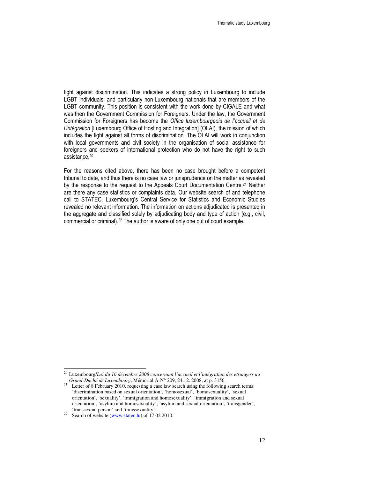fight against discrimination. This indicates a strong policy in Luxembourg to include LGBT individuals, and particularly non-Luxembourg nationals that are members of the LGBT community. This position is consistent with the work done by CIGALE and what was then the Government Commission for Foreigners. Under the law, the Government Commission for Foreigners has become the Office luxembourgeois de l'accueil et de l'intégration [Luxembourg Office of Hosting and Integration] (OLAI), the mission of which includes the fight against all forms of discrimination. The OLAI will work in conjunction with local governments and civil society in the organisation of social assistance for foreigners and seekers of international protection who do not have the right to such assistance.<sup>20</sup>

For the reasons cited above, there has been no case brought before a competent tribunal to date, and thus there is no case law or jurisprudence on the matter as revealed by the response to the request to the Appeals Court Documentation Centre.21 Neither are there any case statistics or complaints data. Our website search of and telephone call to STATEC, Luxembourg's Central Service for Statistics and Economic Studies revealed no relevant information. The information on actions adjudicated is presented in the aggregate and classified solely by adjudicating body and type of action (e.g., civil, commercial or criminal).<sup>22</sup> The author is aware of only one out of court example.

-

<sup>20</sup> Luxembourg/*Loi du 16 décembre 2008 concernant l'accueil et l'intégration des étrangers au Grand-Duché de Luxembourg*, Mémorial A-N° 209, 24.12. 2008, at p. 3156.

<sup>&</sup>lt;sup>21</sup> Letter of 8 February 2010, requesting a case law search using the following search terms: 'discrimination based on sexual orientation', 'homosexual', 'homosexuality', 'sexual orientation', 'sexuality', 'immigration and homosexuality', 'immigration and sexual orientation', 'asylum and homosexuality', 'asylum and sexual orientation', 'transgender', 'transsexual person' and 'transsexuality'.

<sup>&</sup>lt;sup>22</sup> Search of website (www.statec.lu) of 17.02.2010.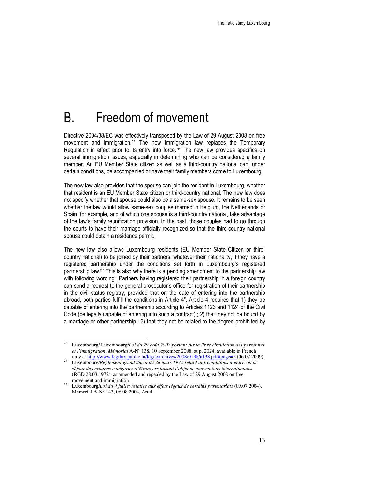## B. Freedom of movement

Directive 2004/38/EC was effectively transposed by the Law of 29 August 2008 on free movement and immigration.25 The new immigration law replaces the Temporary Regulation in effect prior to its entry into force.<sup>26</sup> The new law provides specifics on several immigration issues, especially in determining who can be considered a family member. An EU Member State citizen as well as a third-country national can, under certain conditions, be accompanied or have their family members come to Luxembourg.

The new law also provides that the spouse can join the resident in Luxembourg, whether that resident is an EU Member State citizen or third-country national. The new law does not specify whether that spouse could also be a same-sex spouse. It remains to be seen whether the law would allow same-sex couples married in Belgium, the Netherlands or Spain, for example, and of which one spouse is a third-country national, take advantage of the law's family reunification provision. In the past, those couples had to go through the courts to have their marriage officially recognized so that the third-country national spouse could obtain a residence permit.

The new law also allows Luxembourg residents (EU Member State Citizen or thirdcountry national) to be joined by their partners, whatever their nationality, if they have a registered partnership under the conditions set forth in Luxembourg's registered partnership law.27 This is also why there is a pending amendment to the partnership law with following wording: 'Partners having registered their partnership in a foreign country can send a request to the general prosecutor's office for registration of their partnership in the civil status registry, provided that on the date of entering into the partnership abroad, both parties fulfill the conditions in Article 4". Article 4 requires that 1) they be capable of entering into the partnership according to Articles 1123 and 1124 of the Civil Code (be legally capable of entering into such a contract) ; 2) that they not be bound by a marriage or other partnership ; 3) that they not be related to the degree prohibited by

 $\overline{\phantom{a}}$ 

<sup>25</sup> Luxembourg/ Luxembourg/*Loi du 29 août 2008 portant sur la libre circulation des personnes*  et l'immigration, Mémorial A-N<sup>o</sup> 138, 10 September 2008, at p. 2024, available in French only at http://www.legilux.public.lu/leg/a/archives/2008/0138/a138.pdf#page=2 (06.07.2009),

<sup>26</sup> Luxembourg/*Règlement grand ducal du 28 mars 1972 relatif aux conditions d'entrée et de séjour de certaines catégories d'étrangers faisant l'objet de conventions internationales* (RGD 28.03.1972), as amended and repealed by the Law of 29 August 2008 on free movement and immigration

<sup>27</sup> Luxembourg/*Loi du 9 juillet relative aux effets légaux de certains partenariats* (09.07.2004), Mémorial A-N° 143, 06.08.2004, Art 4.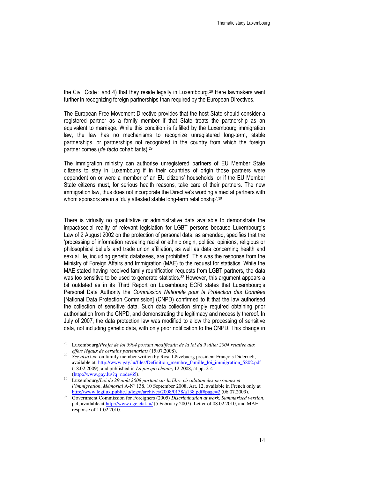the Civil Code ; and 4) that they reside legally in Luxembourg.<sup>28</sup> Here lawmakers went further in recognizing foreign partnerships than required by the European Directives.

The European Free Movement Directive provides that the host State should consider a registered partner as a family member if that State treats the partnership as an equivalent to marriage. While this condition is fulfilled by the Luxembourg immigration law, the law has no mechanisms to recognize unregistered long-term, stable partnerships, or partnerships not recognized in the country from which the foreign partner comes (de facto cohabitants).<sup>29</sup>

The immigration ministry can authorise unregistered partners of EU Member State citizens to stay in Luxembourg if in their countries of origin those partners were dependent on or were a member of an EU citizens' households, or if the EU Member State citizens must, for serious health reasons, take care of their partners. The new immigration law, thus does not incorporate the Directive's wording aimed at partners with whom sponsors are in a 'duly attested stable long-term relationship'.<sup>30</sup>

There is virtually no quantitative or administrative data available to demonstrate the impact/social reality of relevant legislation for LGBT persons because Luxembourg's Law of 2 August 2002 on the protection of personal data, as amended, specifies that the 'processing of information revealing racial or ethnic origin, political opinions, religious or philosophical beliefs and trade union affiliation, as well as data concerning health and sexual life, including genetic databases, are prohibited'. This was the response from the Ministry of Foreign Affairs and Immigration (MAE) to the request for statistics. While the MAE stated having received family reunification requests from LGBT partners, the data was too sensitive to be used to generate statistics.<sup>32</sup> However, this argument appears a bit outdated as in its Third Report on Luxembourg ECRI states that Luxembourg's Personal Data Authority the Commission Nationale pour la Protection des Données [National Data Protection Commission] (CNPD) confirmed to it that the law authorised the collection of sensitive data. Such data collection simply required obtaining prior authorisation from the CNPD, and demonstrating the legitimacy and necessity thereof. In July of 2007, the data protection law was modified to allow the processing of sensitive data, not including genetic data, with only prior notification to the CNPD. This change in

 $\overline{\phantom{a}}$ 

<sup>28</sup> Luxembourg/*Projet de loi 5904 portant modificatin de la loi du 9 uillet 2004 relative aux effets légaux de certains partenariats* (15.07.2008).

 $29$  *See also* text on family member written by Rosa Lëtzebuerg president François Diderrich, available at: http://www.gay.lu/files/Definition\_membre\_famille\_loi\_immigration\_5802.pdf (18.02.2009), and published in *La pie qui chante*, 12.2008, at pp. 2-4 (http://www.gay.lu/?q=node/65).

<sup>30</sup> Luxembourg/*Loi du 29 août 2008 portant sur la libre circulation des personnes et*  l'immigration, Mémorial A-Nº 138, 10 September 2008, Art. 12, available in French only at http://www.legilux.public.lu/leg/a/archives/2008/0138/a138.pdf#page=2 (06.07.2009).

<sup>32</sup> Government Commission for Foreigners (2005) *Discrimination at work*, *Summarised version*, p.4, available at http://www.cge.etat.lu/ (5 February 2007). Letter of 08.02.2010, and MAE response of 11.02.2010.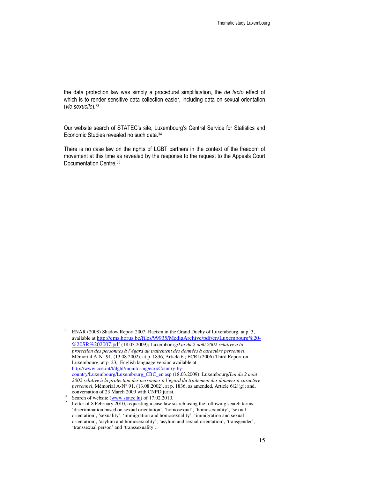the data protection law was simply a procedural simplification, the de facto effect of which is to render sensitive data collection easier, including data on sexual orientation (vie sexuelle).<sup>33</sup>

Our website search of STATEC's site, Luxembourg's Central Service for Statistics and Economic Studies revealed no such data.<sup>34</sup>

There is no case law on the rights of LGBT partners in the context of the freedom of movement at this time as revealed by the response to the request to the Appeals Court Documentation Centre.<sup>35</sup>

<sup>33</sup> ENAR (2008) Shadow Report 2007: Racism in the Grand Duchy of Luxembourg, at p. 3, available at http://cms.horus.be/files/99935/MediaArchive/pdf/en/Luxembourg%20- %20SR%202007.pdf (18.03.2009); Luxembourg/*Loi du 2 août 2002 relative à la protection des personnes à l'égard du traitement des données à caractère personnel*, Mémorial A-N° 91, (13.08.2002), at p. 1836, Article 6; ECRI (2006) Third Report on Luxembourg, at p. 23, English language version available at http://www.coe.int/t/dghl/monitoring/ecri/Country-bycountry/Luxembourg/Luxembourg\_CBC\_en.asp (18.03.2009); Luxembourg/*Loi du 2 août 2002 relative à la protection des personnes à l'égard du traitement des données à caractère personnel*, Mémorial A-N° 91, (13.08.2002), at p. 1836, as amended, Article 6(2)(g); and, conversation of 23 March 2009 with CNPD jurist.

 $34$  Search of website (www.statec.lu) of 17.02.2010.

<sup>&</sup>lt;sup>35</sup> Letter of 8 February 2010, requesting a case law search using the following search terms: 'discrimination based on sexual orientation', 'homosexual', 'homosexuality', 'sexual orientation', 'sexuality', 'immigration and homosexuality', 'immigration and sexual orientation', 'asylum and homosexuality', 'asylum and sexual orientation', 'transgender', 'transsexual person' and 'transsexuality'..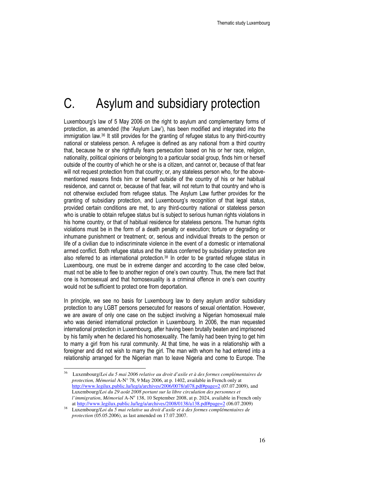# C. Asylum and subsidiary protection

Luxembourg's law of 5 May 2006 on the right to asylum and complementary forms of protection, as amended (the 'Asylum Law'), has been modified and integrated into the immigration law.36 It still provides for the granting of refugee status to any third-country national or stateless person. A refugee is defined as any national from a third country that, because he or she rightfully fears persecution based on his or her race, religion, nationality, political opinions or belonging to a particular social group, finds him or herself outside of the country of which he or she is a citizen, and cannot or, because of that fear will not request protection from that country; or, any stateless person who, for the abovementioned reasons finds him or herself outside of the country of his or her habitual residence, and cannot or, because of that fear, will not return to that country and who is not otherwise excluded from refugee status. The Asylum Law further provides for the granting of subsidiary protection, and Luxembourg's recognition of that legal status, provided certain conditions are met, to any third-country national or stateless person who is unable to obtain refugee status but is subject to serious human rights violations in his home country, or that of habitual residence for stateless persons. The human rights violations must be in the form of a death penalty or execution; torture or degrading or inhumane punishment or treatment; or, serious and individual threats to the person or life of a civilian due to indiscriminate violence in the event of a domestic or international armed conflict. Both refugee status and the status conferred by subsidiary protection are also referred to as international protection.<sup>38</sup> In order to be granted refugee status in Luxembourg, one must be in extreme danger and according to the case cited below, must not be able to flee to another region of one's own country. Thus, the mere fact that one is homosexual and that homosexuality is a criminal offence in one's own country would not be sufficient to protect one from deportation.

In principle, we see no basis for Luxembourg law to deny asylum and/or subsidiary protection to any LGBT persons persecuted for reasons of sexual orientation. However, we are aware of only one case on the subject involving a Nigerian homosexual male who was denied international protection in Luxembourg. In 2006, the man requested international protection in Luxembourg, after having been brutally beaten and imprisoned by his family when he declared his homosexuality. The family had been trying to get him to marry a girl from his rural community. At that time, he was in a relationship with a foreigner and did not wish to marry the girl. The man with whom he had entered into a relationship arranged for the Nigerian man to leave Nigeria and come to Europe. The

<sup>36</sup> <sup>36</sup> Luxembourg/*Loi du 5 mai 2006 relative au droit d'asile et à des formes complémentaires de protection, Mémorial* A-N° 78, 9 May 2006, at p. 1402, available in French only at http://www.legilux.public.lu/leg/a/archives/2006/0078/a078.pdf#page=2 (07.07.2009), and Luxembourg/*Loi du 29 août 2008 portant sur la libre circulation des personnes et*  l'immigration, Mémorial A-N<sup>o</sup> 138, 10 September 2008, at p. 2024, available in French only at http://www.legilux.public.lu/leg/a/archives/2008/0138/a138.pdf#page=2 (06.07.2009)

<sup>38</sup> Luxembourg/*Loi du 5 mai relative ua droit d'asile et à des formes complémentaires de protection* (05.05.2006), as last amended on 17.07.2007.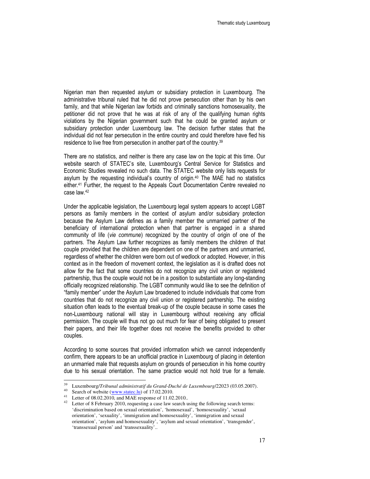Nigerian man then requested asylum or subsidiary protection in Luxembourg. The administrative tribunal ruled that he did not prove persecution other than by his own family, and that while Nigerian law forbids and criminally sanctions homosexuality, the petitioner did not prove that he was at risk of any of the qualifying human rights violations by the Nigerian government such that he could be granted asylum or subsidiary protection under Luxembourg law. The decision further states that the individual did not fear persecution in the entire country and could therefore have fled his residence to live free from persecution in another part of the country.<sup>39</sup>

There are no statistics, and neither is there any case law on the topic at this time. Our website search of STATEC's site, Luxembourg's Central Service for Statistics and Economic Studies revealed no such data. The STATEC website only lists requests for asylum by the requesting individual's country of origin.40 The MAE had no statistics either.41 Further, the request to the Appeals Court Documentation Centre revealed no case law.<sup>42</sup>

Under the applicable legislation, the Luxembourg legal system appears to accept LGBT persons as family members in the context of asylum and/or subsidiary protection because the Asylum Law defines as a family member the unmarried partner of the beneficiary of international protection when that partner is engaged in a shared community of life (vie commune) recognized by the country of origin of one of the partners. The Asylum Law further recognizes as family members the children of that couple provided that the children are dependent on one of the partners and unmarried, regardless of whether the children were born out of wedlock or adopted. However, in this context as in the freedom of movement context, the legislation as it is drafted does not allow for the fact that some countries do not recognize any civil union or registered partnership, thus the couple would not be in a position to substantiate any long-standing officially recognized relationship. The LGBT community would like to see the definition of "family member" under the Asylum Law broadened to include individuals that come from countries that do not recognize any civil union or registered partnership. The existing situation often leads to the eventual break-up of the couple because in some cases the non-Luxembourg national will stay in Luxembourg without receiving any official permission. The couple will thus not go out much for fear of being obligated to present their papers, and their life together does not receive the benefits provided to other couples.

According to some sources that provided information which we cannot independently confirm, there appears to be an unofficial practice in Luxembourg of placing in detention an unmarried male that requests asylum on grounds of persecution in his home country due to his sexual orientation. The same practice would not hold true for a female.

<sup>39</sup> Luxembourg/*Tribunal administratif du Grand-Duché de Luxembourg*/22023 (03.05.2007).

<sup>&</sup>lt;sup>40</sup> Search of website  $(\underline{www.stateclu})$  of 17.02.2010.

<sup>41</sup> Letter of 08.02.2010, and MAE response of 11.02.2010..

 $42$  Letter of 8 February 2010, requesting a case law search using the following search terms: 'discrimination based on sexual orientation', 'homosexual', 'homosexuality', 'sexual orientation', 'sexuality', 'immigration and homosexuality', 'immigration and sexual orientation', 'asylum and homosexuality', 'asylum and sexual orientation', 'transgender', 'transsexual person' and 'transsexuality'..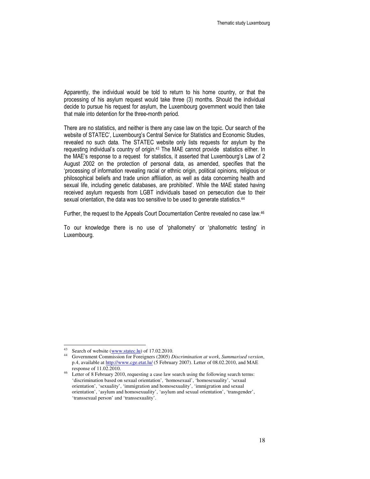Apparently, the individual would be told to return to his home country, or that the processing of his asylum request would take three (3) months. Should the individual decide to pursue his request for asylum, the Luxembourg government would then take that male into detention for the three-month period.

There are no statistics, and neither is there any case law on the topic. Our search of the website of STATEC', Luxembourg's Central Service for Statistics and Economic Studies, revealed no such data. The STATEC website only lists requests for asylum by the requesting individual's country of origin.<sup>43</sup> The MAE cannot provide statistics either. In the MAE's response to a request for statistics, it asserted that Luxembourg's Law of 2 August 2002 on the protection of personal data, as amended, specifies that the 'processing of information revealing racial or ethnic origin, political opinions, religious or philosophical beliefs and trade union affiliation, as well as data concerning health and sexual life, including genetic databases, are prohibited'. While the MAE stated having received asylum requests from LGBT individuals based on persecution due to their sexual orientation, the data was too sensitive to be used to generate statistics.<sup>44</sup>

Further, the request to the Appeals Court Documentation Centre revealed no case law.<sup>46</sup>

To our knowledge there is no use of 'phallometry' or 'phallometric testing' in Luxembourg.

<sup>43</sup> Search of website (www.statec.lu) of 17.02.2010.

<sup>44</sup> Government Commission for Foreigners (2005) *Discrimination at work*, *Summarised version*, p.4, available at http://www.cge.etat.lu/ (5 February 2007). Letter of 08.02.2010, and MAE response of 11.02.2010.

<sup>&</sup>lt;sup>46</sup> Letter of 8 February 2010, requesting a case law search using the following search terms: 'discrimination based on sexual orientation', 'homosexual', 'homosexuality', 'sexual orientation', 'sexuality', 'immigration and homosexuality', 'immigration and sexual orientation', 'asylum and homosexuality', 'asylum and sexual orientation', 'transgender', 'transsexual person' and 'transsexuality'.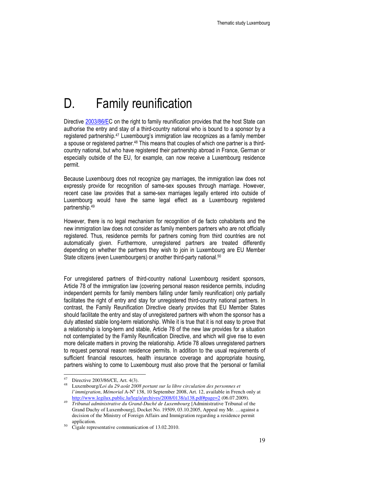# D. Family reunification

Directive 2003/86/EC on the right to family reunification provides that the host State can authorise the entry and stay of a third-country national who is bound to a sponsor by a registered partnership.<sup>47</sup> Luxembourg's immigration law recognizes as a family member a spouse or registered partner.<sup>48</sup> This means that couples of which one partner is a thirdcountry national, but who have registered their partnership abroad in France, German or especially outside of the EU, for example, can now receive a Luxembourg residence permit.

Because Luxembourg does not recognize gay marriages, the immigration law does not expressly provide for recognition of same-sex spouses through marriage. However, recent case law provides that a same-sex marriages legally entered into outside of Luxembourg would have the same legal effect as a Luxembourg registered partnership.<sup>49</sup>

However, there is no legal mechanism for recognition of de facto cohabitants and the new immigration law does not consider as family members partners who are not officially registered. Thus, residence permits for partners coming from third countries are not automatically given. Furthermore, unregistered partners are treated differently depending on whether the partners they wish to join in Luxembourg are EU Member State citizens (even Luxembourgers) or another third-party national.<sup>50</sup>

For unregistered partners of third-country national Luxembourg resident sponsors, Article 78 of the immigration law (covering personal reason residence permits, including independent permits for family members falling under family reunification) only partially facilitates the right of entry and stay for unregistered third-country national partners. In contrast, the Family Reunification Directive clearly provides that EU Member States should facilitate the entry and stay of unregistered partners with whom the sponsor has a duly attested stable long-term relationship. While it is true that it is not easy to prove that a relationship is long-term and stable, Article 78 of the new law provides for a situation not contemplated by the Family Reunification Directive, and which will give rise to even more delicate matters in proving the relationship. Article 78 allows unregistered partners to request personal reason residence permits. In addition to the usual requirements of sufficient financial resources, health insurance coverage and appropriate housing, partners wishing to come to Luxembourg must also prove that the 'personal or familial

Directive 2003/86/CE, Art. 4(3).

<sup>48</sup> Luxembourg/*Loi du 29 août 2008 portant sur la libre circulation des personnes et*  l'immigration, Mémorial A-Nº 138, 10 September 2008, Art. 12, available in French only at http://www.legilux.public.lu/leg/a/archives/2008/0138/a138.pdf#page=2 (06.07.2009).

<sup>49</sup> *Tribunal administrative du Grand-Duché de Luxembourg* [Administrative Tribunal of the Grand Duchy of Luxembourg], Docket No. 19509, 03.10.2005, Appeal my Mr. …against a decision of the Ministry of Foreign Affairs and Immigration regarding a residence permit application.

 $50\degree$  Cigale representative communication of 13.02.2010.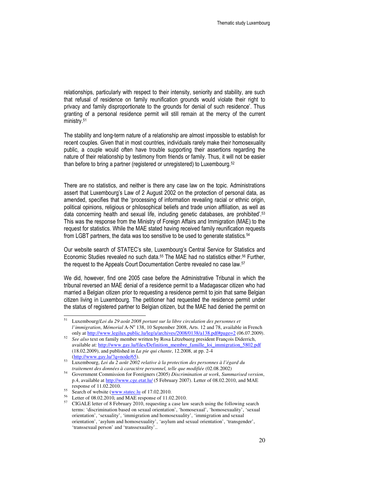relationships, particularly with respect to their intensity, seniority and stability, are such that refusal of residence on family reunification grounds would violate their right to privacy and family disproportionate to the grounds for denial of such residence'. Thus granting of a personal residence permit will still remain at the mercy of the current ministry.<sup>51</sup>

The stability and long-term nature of a relationship are almost impossible to establish for recent couples. Given that in most countries, individuals rarely make their homosexuality public, a couple would often have trouble supporting their assertions regarding the nature of their relationship by testimony from friends or family. Thus, it will not be easier than before to bring a partner (registered or unregistered) to Luxembourg.<sup>52</sup>

There are no statistics, and neither is there any case law on the topic. Administrations assert that Luxembourg's Law of 2 August 2002 on the protection of personal data, as amended, specifies that the 'processing of information revealing racial or ethnic origin, political opinions, religious or philosophical beliefs and trade union affiliation, as well as data concerning health and sexual life, including genetic databases, are prohibited'.<sup>53</sup> This was the response from the Ministry of Foreign Affairs and Immigration (MAE) to the request for statistics. While the MAE stated having received family reunification requests from LGBT partners, the data was too sensitive to be used to generate statistics.<sup>54</sup>

Our website search of STATEC's site, Luxembourg's Central Service for Statistics and Economic Studies revealed no such data.<sup>55</sup> The MAE had no statistics either.<sup>56</sup> Further, the request to the Appeals Court Documentation Centre revealed no case law.<sup>57</sup>

We did, however, find one 2005 case before the Administrative Tribunal in which the tribunal reversed an MAE denial of a residence permit to a Madagascar citizen who had married a Belgian citizen prior to requesting a residence permit to join that same Belgian citizen living in Luxembourg. The petitioner had requested the residence permit under the status of registered partner to Belgian citizen, but the MAE had denied the permit on

<sup>51</sup> <sup>51</sup> Luxembourg/*Loi du 29 août 2008 portant sur la libre circulation des personnes et*  l'immigration, Mémorial A-N<sup>o</sup> 138, 10 September 2008, Arts. 12 and 78, available in French only at http://www.legilux.public.lu/leg/a/archives/2008/0138/a138.pdf#page=2 (06.07.2009).

<sup>52</sup> *See also* text on family member written by Rosa Lëtzebuerg president François Diderrich, available at: http://www.gay.lu/files/Definition\_membre\_famille\_loi\_immigration\_5802.pdf (18.02.2009), and published in *La pie qui chante*, 12.2008, at pp. 2-4 (http://www.gay.lu/?q=node/65).

<sup>53</sup> Luxembourg, *Loi du 2 août 2002 relative à la protection des personnes à l'égard du traitement des données à caractère personnel, telle que modifiée* (02.08.2002)

<sup>54</sup> Government Commission for Foreigners (2005) *Discrimination at work*, *Summarised version*, p.4, available at http://www.cge.etat.lu/ (5 February 2007). Letter of 08.02.2010, and MAE response of 11.02.2010.

 $55$  Search of website (www.statec.lu of 17.02.2010.

<sup>56</sup> Letter of 08.02.2010, and MAE response of 11.02.2010.

<sup>&</sup>lt;sup>57</sup> CIGALE letter of 8 February 2010, requesting a case law search using the following search terms: 'discrimination based on sexual orientation', 'homosexual', 'homosexuality', 'sexual orientation', 'sexuality', 'immigration and homosexuality', 'immigration and sexual orientation', 'asylum and homosexuality', 'asylum and sexual orientation', 'transgender', 'transsexual person' and 'transsexuality'..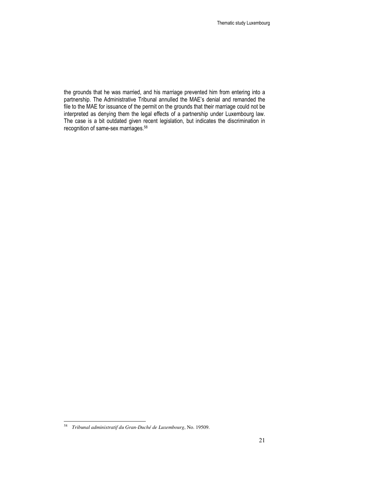the grounds that he was married, and his marriage prevented him from entering into a partnership. The Administrative Tribunal annulled the MAE's denial and remanded the file to the MAE for issuance of the permit on the grounds that their marriage could not be interpreted as denying them the legal effects of a partnership under Luxembourg law. The case is a bit outdated given recent legislation, but indicates the discrimination in recognition of same-sex marriages.<sup>58</sup>

 58 *Tribunal administratif du Gran-Duché de Luxembourg*, No. 19509.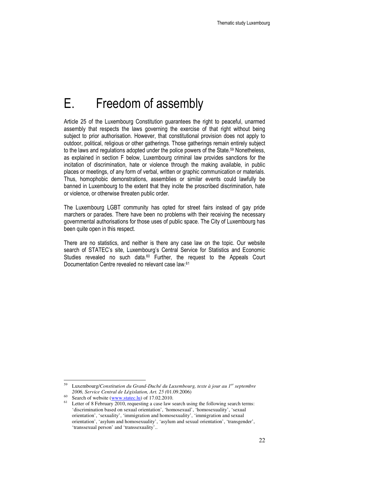# E. Freedom of assembly

Article 25 of the Luxembourg Constitution guarantees the right to peaceful, unarmed assembly that respects the laws governing the exercise of that right without being subject to prior authorisation. However, that constitutional provision does not apply to outdoor, political, religious or other gatherings. Those gatherings remain entirely subject to the laws and regulations adopted under the police powers of the State.<sup>59</sup> Nonetheless, as explained in section F below, Luxembourg criminal law provides sanctions for the incitation of discrimination, hate or violence through the making available, in public places or meetings, of any form of verbal, written or graphic communication or materials. Thus, homophobic demonstrations, assemblies or similar events could lawfully be banned in Luxembourg to the extent that they incite the proscribed discrimination, hate or violence, or otherwise threaten public order.

The Luxembourg LGBT community has opted for street fairs instead of gay pride marchers or parades. There have been no problems with their receiving the necessary governmental authorisations for those uses of public space. The City of Luxembourg has been quite open in this respect.

There are no statistics, and neither is there any case law on the topic. Our website search of STATEC's site, Luxembourg's Central Service for Statistics and Economic Studies revealed no such data.<sup>60</sup> Further, the request to the Appeals Court Documentation Centre revealed no relevant case law.<sup>61</sup>

<sup>59</sup> Luxembourg/*Constitution du Grand-Duché du Luxembourg, texte à jour au 1er septembre 2006, Service Central de Législation, Art. 25 (*01.09.2006)

<sup>&</sup>lt;sup>60</sup> Search of website  $(\underline{www.stateclu})$  of 17.02.2010.

Letter of 8 February 2010, requesting a case law search using the following search terms: 'discrimination based on sexual orientation', 'homosexual', 'homosexuality', 'sexual orientation', 'sexuality', 'immigration and homosexuality', 'immigration and sexual orientation', 'asylum and homosexuality', 'asylum and sexual orientation', 'transgender', 'transsexual person' and 'transsexuality'..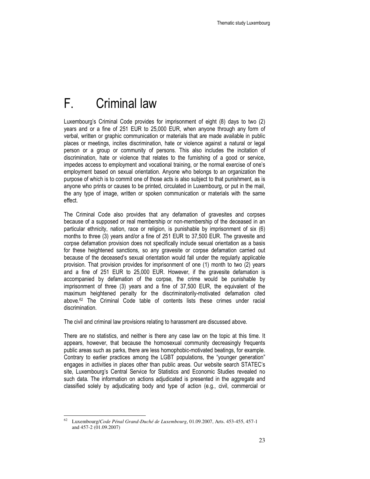# F. Criminal law

Luxembourg's Criminal Code provides for imprisonment of eight (8) days to two (2) years and or a fine of 251 EUR to 25,000 EUR, when anyone through any form of verbal, written or graphic communication or materials that are made available in public places or meetings, incites discrimination, hate or violence against a natural or legal person or a group or community of persons. This also includes the incitation of discrimination, hate or violence that relates to the furnishing of a good or service, impedes access to employment and vocational training, or the normal exercise of one's employment based on sexual orientation. Anyone who belongs to an organization the purpose of which is to commit one of those acts is also subject to that punishment, as is anyone who prints or causes to be printed, circulated in Luxembourg, or put in the mail, the any type of image, written or spoken communication or materials with the same effect.

The Criminal Code also provides that any defamation of gravesites and corpses because of a supposed or real membership or non-membership of the deceased in an particular ethnicity, nation, race or religion, is punishable by imprisonment of six (6) months to three (3) years and/or a fine of 251 EUR to 37,500 EUR. The gravesite and corpse defamation provision does not specifically include sexual orientation as a basis for these heightened sanctions, so any gravesite or corpse defamation carried out because of the deceased's sexual orientation would fall under the regularly applicable provision. That provision provides for imprisonment of one (1) month to two (2) years and a fine of 251 EUR to 25,000 EUR. However, if the gravesite defamation is accompanied by defamation of the corpse, the crime would be punishable by imprisonment of three (3) years and a fine of 37,500 EUR, the equivalent of the maximum heightened penalty for the discriminatorily-motivated defamation cited above.62 The Criminal Code table of contents lists these crimes under racial discrimination.

The civil and criminal law provisions relating to harassment are discussed above.

There are no statistics, and neither is there any case law on the topic at this time. It appears, however, that because the homosexual community decreasingly frequents public areas such as parks, there are less homophobic-motivated beatings, for example. Contrary to earlier practices among the LGBT populations, the "younger generation" engages in activities in places other than public areas. Our website search STATEC's site, Luxembourg's Central Service for Statistics and Economic Studies revealed no such data. The information on actions adjudicated is presented in the aggregate and classified solely by adjudicating body and type of action (e.g., civil, commercial or

<sup>62</sup> Luxembourg/*Code Pénal Grand-Duché de Luxembourg*, 01.09.2007, Arts. 453-455, 457-1 and 457-2 (01.09.2007)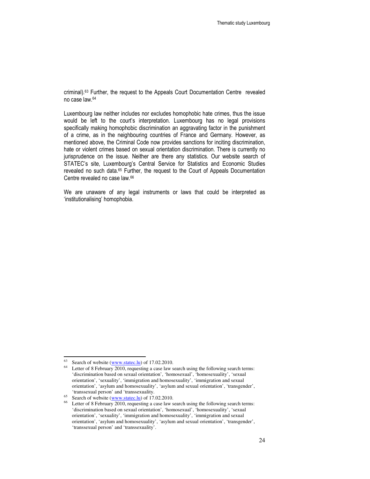criminal).63 Further, the request to the Appeals Court Documentation Centre revealed no case law.<sup>64</sup>

Luxembourg law neither includes nor excludes homophobic hate crimes, thus the issue would be left to the court's interpretation. Luxembourg has no legal provisions specifically making homophobic discrimination an aggravating factor in the punishment of a crime, as in the neighbouring countries of France and Germany. However, as mentioned above, the Criminal Code now provides sanctions for inciting discrimination, hate or violent crimes based on sexual orientation discrimination. There is currently no jurisprudence on the issue. Neither are there any statistics. Our website search of STATEC's site, Luxembourg's Central Service for Statistics and Economic Studies revealed no such data.<sup>65</sup> Further, the request to the Court of Appeals Documentation Centre revealed no case law.<sup>66</sup>

We are unaware of any legal instruments or laws that could be interpreted as 'institutionalising' homophobia.

-

Search of website (www.statec.lu) of 17.02.2010.

Letter of 8 February 2010, requesting a case law search using the following search terms: 'discrimination based on sexual orientation', 'homosexual', 'homosexuality', 'sexual orientation', 'sexuality', 'immigration and homosexuality', 'immigration and sexual orientation', 'asylum and homosexuality', 'asylum and sexual orientation', 'transgender', 'transsexual person' and 'transsexuality.

<sup>&</sup>lt;sup>65</sup> Search of website ( $\frac{www.stateclu}{www.stateclu}$ ) of 17.02.2010.

Letter of 8 February 2010, requesting a case law search using the following search terms: 'discrimination based on sexual orientation', 'homosexual', 'homosexuality', 'sexual orientation', 'sexuality', 'immigration and homosexuality', 'immigration and sexual orientation', 'asylum and homosexuality', 'asylum and sexual orientation', 'transgender', 'transsexual person' and 'transsexuality'.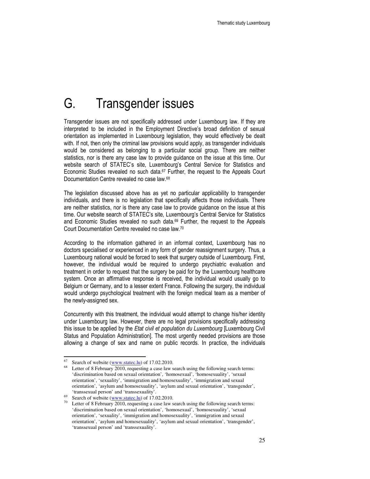## G. Transgender issues

Transgender issues are not specifically addressed under Luxembourg law. If they are interpreted to be included in the Employment Directive's broad definition of sexual orientation as implemented in Luxembourg legislation, they would effectively be dealt with. If not, then only the criminal law provisions would apply, as transgender individuals would be considered as belonging to a particular social group. There are neither statistics, nor is there any case law to provide guidance on the issue at this time. Our website search of STATEC's site, Luxembourg's Central Service for Statistics and Economic Studies revealed no such data.67 Further, the request to the Appeals Court Documentation Centre revealed no case law.<sup>68</sup>

The legislation discussed above has as yet no particular applicability to transgender individuals, and there is no legislation that specifically affects those individuals. There are neither statistics, nor is there any case law to provide guidance on the issue at this time. Our website search of STATEC's site, Luxembourg's Central Service for Statistics and Economic Studies revealed no such data.69 Further, the request to the Appeals Court Documentation Centre revealed no case law.<sup>70</sup>

According to the information gathered in an informal context, Luxembourg has no doctors specialised or experienced in any form of gender reassignment surgery. Thus, a Luxembourg national would be forced to seek that surgery outside of Luxembourg. First, however, the individual would be required to undergo psychiatric evaluation and treatment in order to request that the surgery be paid for by the Luxembourg healthcare system. Once an affirmative response is received, the individual would usually go to Belgium or Germany, and to a lesser extent France. Following the surgery, the individual would undergo psychological treatment with the foreign medical team as a member of the newly-assigned sex.

Concurrently with this treatment, the individual would attempt to change his/her identity under Luxembourg law. However, there are no legal provisions specifically addressing this issue to be applied by the Etat civil et population du Luxembourg [Luxembourg Civil Status and Population Administration]. The most urgently needed provisions are those allowing a change of sex and name on public records. In practice, the individuals

-

Search of website (www.statec.lu) of 17.02.2010.

Letter of 8 February 2010, requesting a case law search using the following search terms: 'discrimination based on sexual orientation', 'homosexual', 'homosexuality', 'sexual orientation', 'sexuality', 'immigration and homosexuality', 'immigration and sexual orientation', 'asylum and homosexuality', 'asylum and sexual orientation', 'transgender', 'transsexual person' and 'transsexuality'.

<sup>&</sup>lt;sup>69</sup> Search of website ( $\frac{www.stateclu}{www.stateclu}$ ) of 17.02.2010.

 $70$  Letter of 8 February 2010, requesting a case law search using the following search terms: 'discrimination based on sexual orientation', 'homosexual', 'homosexuality', 'sexual orientation', 'sexuality', 'immigration and homosexuality', 'immigration and sexual orientation', 'asylum and homosexuality', 'asylum and sexual orientation', 'transgender', 'transsexual person' and 'transsexuality'.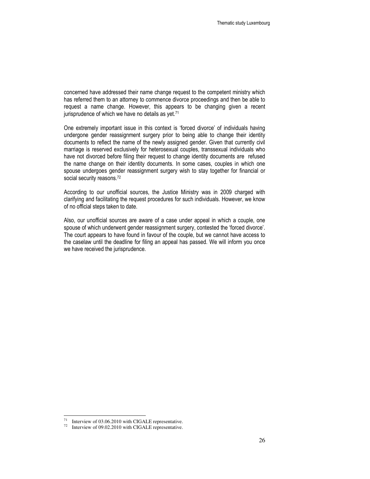concerned have addressed their name change request to the competent ministry which has referred them to an attorney to commence divorce proceedings and then be able to request a name change. However, this appears to be changing given a recent jurisprudence of which we have no details as yet.<sup>71</sup>

One extremely important issue in this context is 'forced divorce' of individuals having undergone gender reassignment surgery prior to being able to change their identity documents to reflect the name of the newly assigned gender. Given that currently civil marriage is reserved exclusively for heterosexual couples, transsexual individuals who have not divorced before filing their request to change identity documents are refused the name change on their identity documents. In some cases, couples in which one spouse undergoes gender reassignment surgery wish to stay together for financial or social security reasons.<sup>72</sup>

According to our unofficial sources, the Justice Ministry was in 2009 charged with clarifying and facilitating the request procedures for such individuals. However, we know of no official steps taken to date.

Also, our unofficial sources are aware of a case under appeal in which a couple, one spouse of which underwent gender reassignment surgery, contested the 'forced divorce'. The court appears to have found in favour of the couple, but we cannot have access to the caselaw until the deadline for filing an appeal has passed. We will inform you once we have received the jurisprudence.

<sup>71</sup> Interview of 03.06.2010 with CIGALE representative.

<sup>72</sup> Interview of 09.02.2010 with CIGALE representative.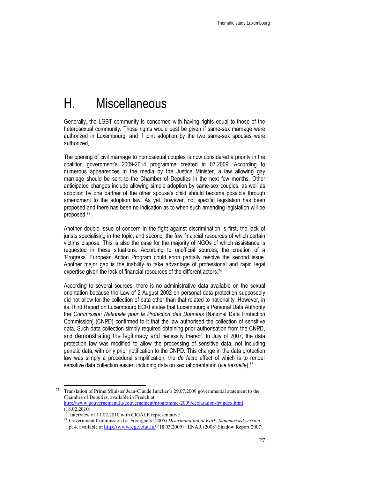## H. Miscellaneous

Generally, the LGBT community is concerned with having rights equal to those of the heterosexual community. Those rights would best be given if same-sex marriage were authorized in Luxembourg, and if joint adoption by the two same-sex spouses were authorized,

The opening of civil marriage to homosexual couples is now considered a priority in the coalition government's 2009-2014 programme created in 07.2009. According to numerous appearences in the media by the Justice Minister, a law allowing gay marriage should be sent to the Chamber of Deputies in the next few months. Other anticipated changes include allowing simple adoption by same-sex couples, as well as adoption by one partner of the other spouse's child should become possible through amendment to the adoption law. As yet, however, not specific legislation has been proposed and there has been no indication as to when such amending legislation will be proposed.<sup>73</sup> .

Another double issue of concern in the fight against discrimination is first, the lack of jurists specialising in the topic, and second, the few financial resources of which certain victims dispose. This is also the case for the majority of NGOs of which assistance is requested in these situations. According to unofficial sources, the creation of a 'Progress' European Action Program could soon partially resolve the second issue. Another major gap is the inability to take advantage of professional and rapid legal expertise given the lack of financial resources of the different actors.<sup>74</sup>

According to several sources, there is no administrative data available on the sexual orientation because the Law of 2 August 2002 on personal data protection supposedly did not allow for the collection of data other than that related to nationality. However, in its Third Report on Luxembourg ECRI states that Luxembourg's Personal Data Authority the Commission Nationale pour la Protection des Données [National Data Protection Commission] (CNPD) confirmed to it that the law authorised the collection of sensitive data. Such data collection simply required obtaining prior authorisation from the CNPD, and demonstrating the legitimacy and necessity thereof. In July of 2007, the data protection law was modified to allow the processing of sensitive data, not including genetic data, with only prior notification to the CNPD. This change in the data protection law was simply a procedural simplification, the de facto effect of which is to render sensitive data collection easier, including data on sexual orientation (vie sexuelle).<sup>75</sup>

<sup>73</sup> Translation of Prime Minister Jean-Claude Juncker's 29.07.2009 governmental statement to the Chambre of Deputies, available in French at: http://www.gouvernement.lu/gouvernement/programme-2009/declaration-fr/index.html  $(18.02.2010).$ 

Interview of 11.02.2010 with CIGALE representative

<sup>75</sup> Government Commission for Foreigners (2005) *Discrimination at work*, *Summarised version*, p. 4, available at http://www.cge.etat.lu/ (18.03.2009) ; ENAR (2008) Shadow Report 2007: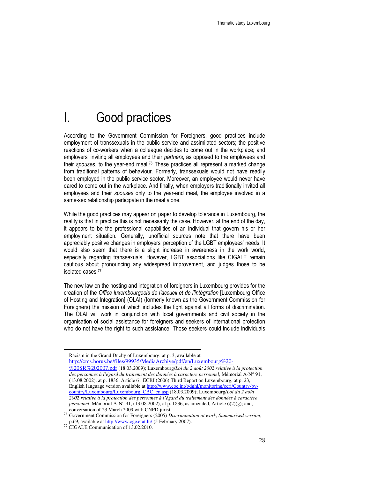## I. Good practices

According to the Government Commission for Foreigners, good practices include employment of transsexuals in the public service and assimilated sectors; the positive reactions of co-workers when a colleague decides to come out in the workplace; and employers' inviting all employees and their partners, as opposed to the employees and their spouses, to the year-end meal.<sup>76</sup> These practices all represent a marked change from traditional patterns of behaviour. Formerly, transsexuals would not have readily been employed in the public service sector. Moreover, an employee would never have dared to come out in the workplace. And finally, when employers traditionally invited all employees and their spouses only to the year-end meal, the employee involved in a same-sex relationship participate in the meal alone.

While the good practices may appear on paper to develop tolerance in Luxembourg, the reality is that in practice this is not necessarily the case. However, at the end of the day, it appears to be the professional capabilities of an individual that govern his or her employment situation. Generally, unofficial sources note that there have been appreciably positive changes in employers' perception of the LGBT employees' needs. It would also seem that there is a slight increase in awareness in the work world, especially regarding transsexuals. However, LGBT associations like CIGALE remain cautious about pronouncing any widespread improvement, and judges those to be isolated cases.<sup>77</sup>

The new law on the hosting and integration of foreigners in Luxembourg provides for the creation of the Office luxembourgeois de l'accueil et de l'intégration [Luxembourg Office of Hosting and Integration] (OLAI) (formerly known as the Government Commission for Foreigners) the mission of which includes the fight against all forms of discrimination. The OLAI will work in conjunction with local governments and civil society in the organisation of social assistance for foreigners and seekers of international protection who do not have the right to such assistance. Those seekers could include individuals

Racism in the Grand Duchy of Luxembourg, at p. 3, available at http://cms.horus.be/files/99935/MediaArchive/pdf/en/Luxembourg%20- %20SR%202007.pdf (18.03.2009); Luxembourg/*Loi du 2 août 2002 relative à la protection* 

*des personnes à l'égard du traitement des données à caractère personnel*, Mémorial A-N° 91, (13.08.2002), at p. 1836, Article 6 ; ECRI (2006) Third Report on Luxembourg, at p. 23, English language version available at http://www.coe.int/t/dghl/monitoring/ecri/Country-bycountry/Luxembourg/Luxembourg\_CBC\_en.asp (18.03.2009); Luxembourg/*Loi du 2 août 2002 relative à la protection des personnes à l'égard du traitement des données à caractère personnel*, Mémorial A-N° 91, (13.08.2002), at p. 1836, as amended, Article 6(2)(g); and, conversation of 23 March 2009 with CNPD jurist.

-

<sup>76</sup> Government Commission for Foreigners (2005) *Discrimination at work*, *Summarised version*, p.69, available at http://www.cge.etat.lu/ (5 February 2007).

<sup>&</sup>lt;sup>77</sup> CIGALE Communication of 13.02.2010.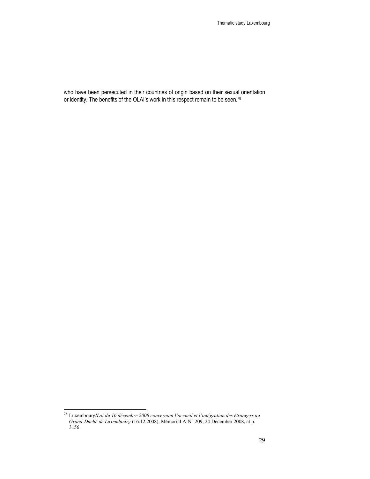who have been persecuted in their countries of origin based on their sexual orientation or identity. The benefits of the OLAI's work in this respect remain to be seen.<sup>78</sup>

 $\overline{a}$ 

<sup>78</sup> Luxembourg/*Loi du 16 décembre 2008 concernant l'accueil et l'intégration des étrangers au Grand-Duché de Luxembourg* (16.12.2008), Mémorial A-N° 209, 24 December 2008, at p. 3156.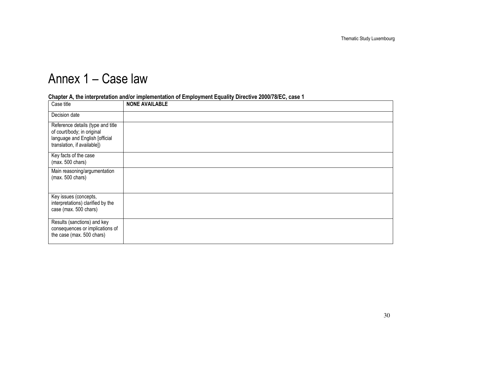# Annex 1 – Case law

| Case title                                                                                                                       | <b>NONE AVAILABLE</b> |
|----------------------------------------------------------------------------------------------------------------------------------|-----------------------|
| Decision date                                                                                                                    |                       |
| Reference details (type and title<br>of court/body; in original<br>language and English [official<br>translation, if available]) |                       |
| Key facts of the case<br>(max. 500 chars)                                                                                        |                       |
| Main reasoning/argumentation<br>(max. 500 chars)                                                                                 |                       |
| Key issues (concepts,<br>interpretations) clarified by the<br>case (max. 500 chars)                                              |                       |
| Results (sanctions) and key<br>consequences or implications of<br>the case (max. 500 chars)                                      |                       |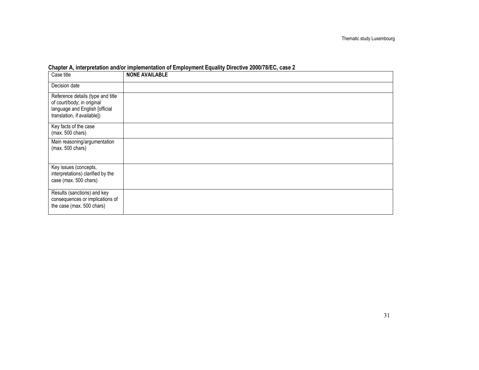| Case title                                                                                                                       | <b>NONE AVAILABLE</b> |
|----------------------------------------------------------------------------------------------------------------------------------|-----------------------|
| Decision date                                                                                                                    |                       |
| Reference details (type and title<br>of court/body; in original<br>language and English [official<br>translation, if available]) |                       |
| Key facts of the case<br>(max. 500 chars)                                                                                        |                       |
| Main reasoning/argumentation<br>(max. 500 chars)                                                                                 |                       |
| Key issues (concepts,<br>interpretations) clarified by the<br>case (max. 500 chars)                                              |                       |
| Results (sanctions) and key<br>consequences or implications of<br>the case (max. 500 chars)                                      |                       |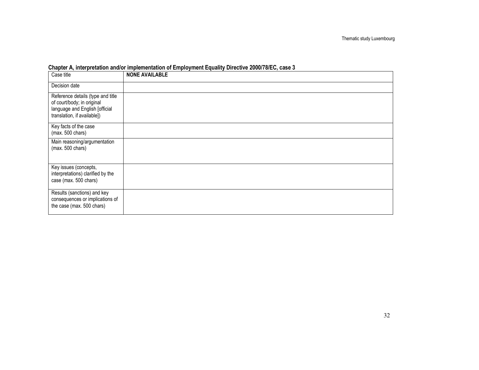| Case title                                                                                                                       | <b>NONE AVAILABLE</b> |
|----------------------------------------------------------------------------------------------------------------------------------|-----------------------|
| Decision date                                                                                                                    |                       |
| Reference details (type and title<br>of court/body; in original<br>language and English [official<br>translation, if available]) |                       |
| Key facts of the case<br>(max. 500 chars)                                                                                        |                       |
| Main reasoning/argumentation<br>(max. 500 chars)                                                                                 |                       |
| Key issues (concepts,<br>interpretations) clarified by the<br>case (max. 500 chars)                                              |                       |
| Results (sanctions) and key<br>consequences or implications of<br>the case (max. 500 chars)                                      |                       |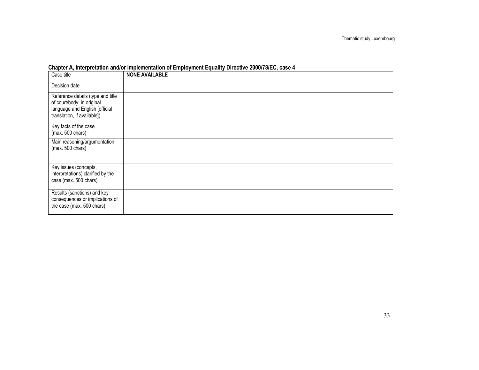| Case title                                                                                                                       | <b>NONE AVAILABLE</b> |
|----------------------------------------------------------------------------------------------------------------------------------|-----------------------|
| Decision date                                                                                                                    |                       |
| Reference details (type and title<br>of court/body; in original<br>language and English [official<br>translation, if available]) |                       |
| Key facts of the case<br>(max. 500 chars)                                                                                        |                       |
| Main reasoning/argumentation<br>(max. 500 chars)                                                                                 |                       |
| Key issues (concepts,<br>interpretations) clarified by the<br>case (max. 500 chars)                                              |                       |
| Results (sanctions) and key<br>consequences or implications of<br>the case (max. 500 chars)                                      |                       |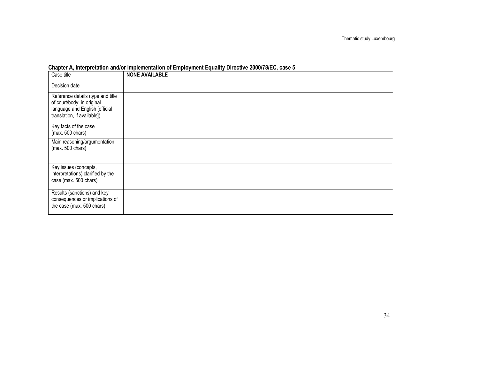| Case title                                                                                                                       | <b>NONE AVAILABLE</b> |
|----------------------------------------------------------------------------------------------------------------------------------|-----------------------|
| Decision date                                                                                                                    |                       |
| Reference details (type and title<br>of court/body; in original<br>language and English [official<br>translation, if available]) |                       |
| Key facts of the case<br>$(max. 500 \text{ chars})$                                                                              |                       |
| Main reasoning/argumentation<br>$(max. 500 \text{ chars})$                                                                       |                       |
| Key issues (concepts,<br>interpretations) clarified by the<br>case (max. 500 chars)                                              |                       |
| Results (sanctions) and key<br>consequences or implications of<br>the case (max. 500 chars)                                      |                       |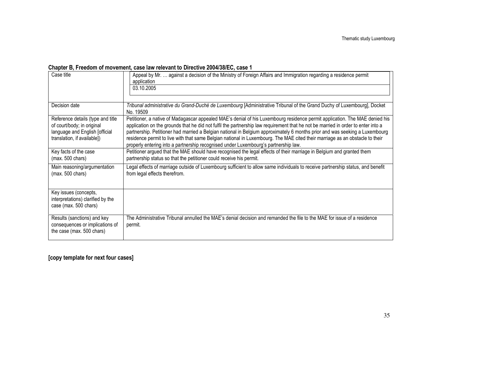#### Chapter B, Freedom of movement, case law relevant to Directive 2004/38/EC, case 1

| Case title                                                                                                                       | Appeal by Mr.  against a decision of the Ministry of Foreign Affairs and Immigration regarding a residence permit<br>application<br>03.10.2005                                                                                                                                                                                                                                                                                                                                                                                                                                                                         |
|----------------------------------------------------------------------------------------------------------------------------------|------------------------------------------------------------------------------------------------------------------------------------------------------------------------------------------------------------------------------------------------------------------------------------------------------------------------------------------------------------------------------------------------------------------------------------------------------------------------------------------------------------------------------------------------------------------------------------------------------------------------|
| Decision date                                                                                                                    | Tribunal administrative du Grand-Duché de Luxembourg [Administrative Tribunal of the Grand Duchy of Luxembourg], Docket<br>No. 19509                                                                                                                                                                                                                                                                                                                                                                                                                                                                                   |
| Reference details (type and title<br>of court/body; in original<br>language and English [official<br>translation, if available]) | Petitioner, a native of Madagascar appealed MAE's denial of his Luxembourg residence permit application. The MAE denied his<br>application on the grounds that he did not fulfil the partnership law requirement that he not be married in order to enter into a<br>partnership. Petitioner had married a Belgian national in Belgium approximately 6 months prior and was seeking a Luxembourg<br>residence permit to live with that same Belgian national in Luxembourg. The MAE cited their marriage as an obstacle to their<br>properly entering into a partnership recognised under Luxembourg's partnership law. |
| Key facts of the case<br>(max. 500 chars)                                                                                        | Petitioner argued that the MAE should have recognised the legal effects of their marriage in Belgium and granted them<br>partnership status so that the petitioner could receive his permit.                                                                                                                                                                                                                                                                                                                                                                                                                           |
| Main reasoning/argumentation<br>(max. 500 chars)                                                                                 | Legal effects of marriage outside of Luxembourg sufficient to allow same individuals to receive partnership status, and benefit<br>from legal effects therefrom.                                                                                                                                                                                                                                                                                                                                                                                                                                                       |
| Key issues (concepts,<br>interpretations) clarified by the<br>case (max. 500 chars)                                              |                                                                                                                                                                                                                                                                                                                                                                                                                                                                                                                                                                                                                        |
| Results (sanctions) and key<br>consequences or implications of<br>the case (max. 500 chars)                                      | The Administrative Tribunal annulled the MAE's denial decision and remanded the file to the MAE for issue of a residence<br>permit.                                                                                                                                                                                                                                                                                                                                                                                                                                                                                    |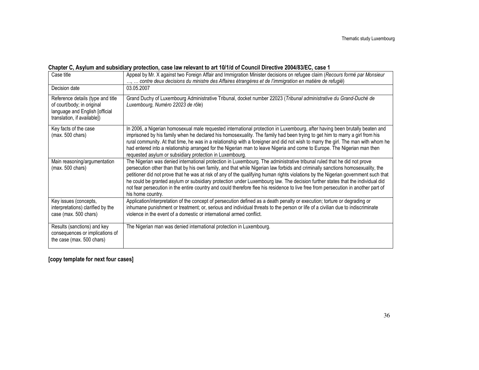#### Chapter C, Asylum and subsidiary protection, case law relevant to art 10/1/d of Council Directive 2004/83/EC, case 1

| Case title                                                                                                                       | Appeal by Mr. X against two Foreign Affair and Immigration Minister decisions on refugee claim (Recours formé par Monsieur<br>contre deux decisions du ministre des Affaires étrangères et de l'immigration en matière de refugié)                                                                                                                                                                                                                                                                                                                                                                                                                                                          |
|----------------------------------------------------------------------------------------------------------------------------------|---------------------------------------------------------------------------------------------------------------------------------------------------------------------------------------------------------------------------------------------------------------------------------------------------------------------------------------------------------------------------------------------------------------------------------------------------------------------------------------------------------------------------------------------------------------------------------------------------------------------------------------------------------------------------------------------|
| Decision date                                                                                                                    | 03.05.2007                                                                                                                                                                                                                                                                                                                                                                                                                                                                                                                                                                                                                                                                                  |
| Reference details (type and title<br>of court/body; in original<br>language and English [official<br>translation, if available]) | Grand Duchy of Luxembourg Administrative Tribunal, docket number 22023 (Tribunal administrative du Grand-Duché de<br>Luxembourg, Numéro 22023 de rôle)                                                                                                                                                                                                                                                                                                                                                                                                                                                                                                                                      |
| Key facts of the case<br>(max. 500 chars)                                                                                        | In 2006, a Nigerian homosexual male requested international protection in Luxembourg, after having been brutally beaten and<br>imprisoned by his family when he declared his homosexuality. The family had been trying to get him to marry a girl from his<br>rural community. At that time, he was in a relationship with a foreigner and did not wish to marry the girl. The man with whom he<br>had entered into a relationship arranged for the Nigerian man to leave Nigeria and come to Europe. The Nigerian man then<br>requested asylum or subsidiary protection in Luxembourg.                                                                                                     |
| Main reasoning/argumentation<br>(max. 500 chars)                                                                                 | The Nigerian was denied international protection in Luxembourg. The administrative tribunal ruled that he did not prove<br>persecution other than that by his own family, and that while Nigerian law forbids and criminally sanctions homosexuality, the<br>petitioner did not prove that he was at risk of any of the qualifying human rights violations by the Nigerian government such that<br>he could be granted asylum or subsidiary protection under Luxembourg law. The decision further states that the individual did<br>not fear persecution in the entire country and could therefore flee his residence to live free from persecution in another part of<br>his home country. |
| Key issues (concepts,<br>interpretations) clarified by the<br>case (max. 500 chars)                                              | Application/interpretation of the concept of persecution defined as a death penalty or execution; torture or degrading or<br>inhumane punishment or treatment; or, serious and individual threats to the person or life of a civilian due to indiscriminate<br>violence in the event of a domestic or international armed conflict.                                                                                                                                                                                                                                                                                                                                                         |
| Results (sanctions) and key<br>consequences or implications of<br>the case (max. 500 chars)                                      | The Nigerian man was denied international protection in Luxembourg.                                                                                                                                                                                                                                                                                                                                                                                                                                                                                                                                                                                                                         |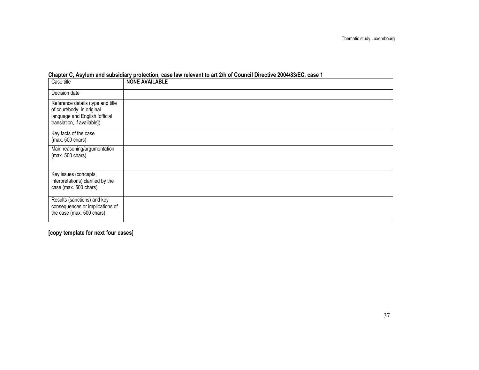| Case title                                                                                        | <b>NONE AVAILABLE</b> |
|---------------------------------------------------------------------------------------------------|-----------------------|
| Decision date                                                                                     |                       |
| Reference details (type and title<br>of court/body; in original<br>language and English [official |                       |
| translation, if available])                                                                       |                       |
| Key facts of the case<br>(max. 500 chars)                                                         |                       |
| Main reasoning/argumentation<br>(max. 500 chars)                                                  |                       |
| Key issues (concepts,<br>interpretations) clarified by the<br>case (max. 500 chars)               |                       |
| Results (sanctions) and key<br>consequences or implications of<br>the case (max. 500 chars)       |                       |

### Chapter C, Asylum and subsidiary protection, case law relevant to art 2/h of Council Directive 2004/83/EC, case 1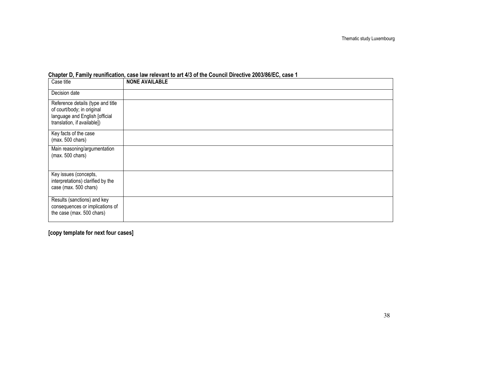| Case title                                                                                                                       | <b>NONE AVAILABLE</b> |
|----------------------------------------------------------------------------------------------------------------------------------|-----------------------|
| Decision date                                                                                                                    |                       |
| Reference details (type and title<br>of court/body; in original<br>language and English [official<br>translation, if available]) |                       |
| Key facts of the case<br>(max. 500 chars)                                                                                        |                       |
| Main reasoning/argumentation<br>$(max. 500 \text{ chars})$                                                                       |                       |
| Key issues (concepts,<br>interpretations) clarified by the<br>case (max. 500 chars)                                              |                       |
| Results (sanctions) and key<br>consequences or implications of<br>the case (max. 500 chars)                                      |                       |

### Chapter D, Family reunification, case law relevant to art 4/3 of the Council Directive 2003/86/EC, case 1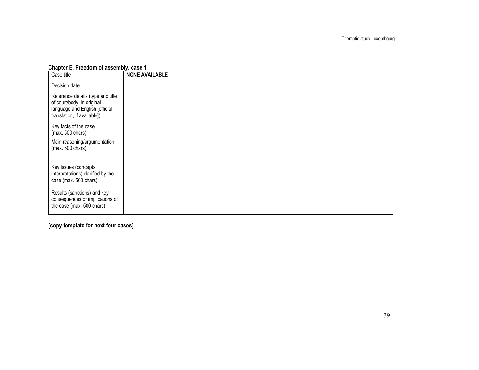#### Chapter E, Freedom of assembly, case 1

| Case title                                                                                                                       | <b>NONE AVAILABLE</b> |
|----------------------------------------------------------------------------------------------------------------------------------|-----------------------|
| Decision date                                                                                                                    |                       |
| Reference details (type and title<br>of court/body; in original<br>language and English [official<br>translation, if available]) |                       |
| Key facts of the case<br>$(max. 500 \text{ chars})$                                                                              |                       |
| Main reasoning/argumentation<br>$(max. 500 \text{ chars})$                                                                       |                       |
| Key issues (concepts,<br>interpretations) clarified by the<br>case (max. 500 chars)                                              |                       |
| Results (sanctions) and key<br>consequences or implications of<br>the case (max. 500 chars)                                      |                       |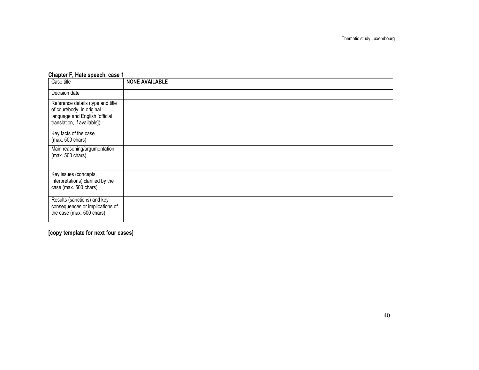| Case title                                                                                                                       | <b>NONE AVAILABLE</b> |
|----------------------------------------------------------------------------------------------------------------------------------|-----------------------|
| Decision date                                                                                                                    |                       |
| Reference details (type and title<br>of court/body; in original<br>language and English [official<br>translation, if available]) |                       |
| Key facts of the case<br>(max. 500 chars)                                                                                        |                       |
| Main reasoning/argumentation<br>$(max. 500 \text{ chars})$                                                                       |                       |
| Key issues (concepts,<br>interpretations) clarified by the<br>case (max. 500 chars)                                              |                       |
| Results (sanctions) and key<br>consequences or implications of<br>the case (max. 500 chars)                                      |                       |

#### Chapter F, Hate speech, case 1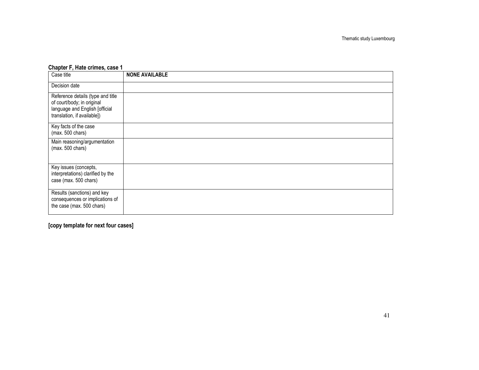### Chapter F, Hate crimes, case 1

| Case title                                                                                                                       | <b>NONE AVAILABLE</b> |
|----------------------------------------------------------------------------------------------------------------------------------|-----------------------|
| Decision date                                                                                                                    |                       |
| Reference details (type and title<br>of court/body; in original<br>language and English [official<br>translation, if available]) |                       |
| Key facts of the case<br>(max. 500 chars)                                                                                        |                       |
| Main reasoning/argumentation<br>$(max. 500 \text{ chars})$                                                                       |                       |
| Key issues (concepts,<br>interpretations) clarified by the<br>case (max. 500 chars)                                              |                       |
| Results (sanctions) and key<br>consequences or implications of<br>the case (max. 500 chars)                                      |                       |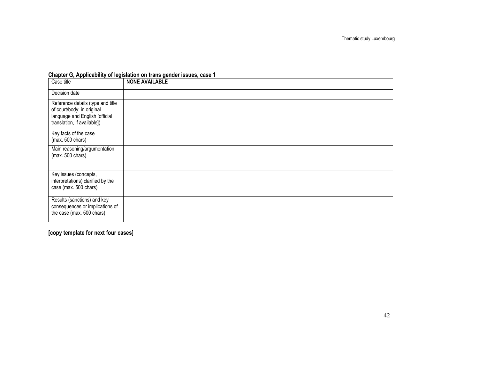| Case title                                                                                                                       | <b>NONE AVAILABLE</b> |
|----------------------------------------------------------------------------------------------------------------------------------|-----------------------|
| Decision date                                                                                                                    |                       |
| Reference details (type and title<br>of court/body; in original<br>language and English [official<br>translation, if available]) |                       |
| Key facts of the case<br>(max. 500 chars)                                                                                        |                       |
| Main reasoning/argumentation<br>(max. 500 chars)                                                                                 |                       |
| Key issues (concepts,<br>interpretations) clarified by the<br>case (max. 500 chars)                                              |                       |
| Results (sanctions) and key<br>consequences or implications of<br>the case (max. 500 chars)                                      |                       |

#### Chapter G, Applicability of legislation on trans gender issues, case 1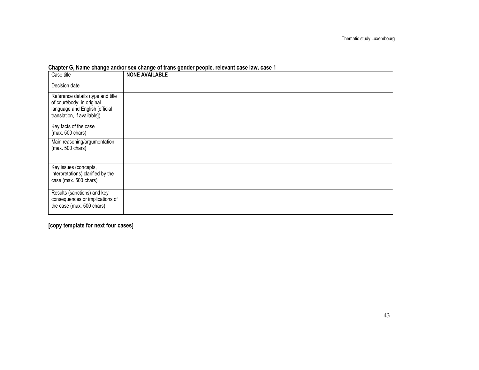| Case title                                                                                                                       | <b>NONE AVAILABLE</b> |
|----------------------------------------------------------------------------------------------------------------------------------|-----------------------|
| Decision date                                                                                                                    |                       |
| Reference details (type and title<br>of court/body; in original<br>language and English [official<br>translation, if available]) |                       |
| Key facts of the case<br>$(max. 500 \text{ chars})$                                                                              |                       |
| Main reasoning/argumentation<br>$(max. 500 \text{ chars})$                                                                       |                       |
| Key issues (concepts,<br>interpretations) clarified by the<br>case (max. 500 chars)                                              |                       |
| Results (sanctions) and key<br>consequences or implications of<br>the case (max. 500 chars)                                      |                       |

#### Chapter G, Name change and/or sex change of trans gender people, relevant case law, case 1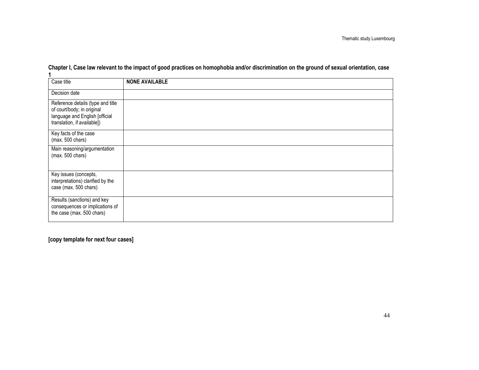| Case title                                                                                                                       | <b>NONE AVAILABLE</b> |
|----------------------------------------------------------------------------------------------------------------------------------|-----------------------|
| Decision date                                                                                                                    |                       |
| Reference details (type and title<br>of court/body; in original<br>language and English [official<br>translation, if available]) |                       |
| Key facts of the case<br>$(max. 500 \text{ chars})$                                                                              |                       |
| Main reasoning/argumentation<br>$(max. 500 \text{ chars})$                                                                       |                       |
| Key issues (concepts,<br>interpretations) clarified by the<br>case (max. 500 chars)                                              |                       |
| Results (sanctions) and key<br>consequences or implications of<br>the case (max. 500 chars)                                      |                       |

Chapter I, Case law relevant to the impact of good practices on homophobia and/or discrimination on the ground of sexual orientation, case 1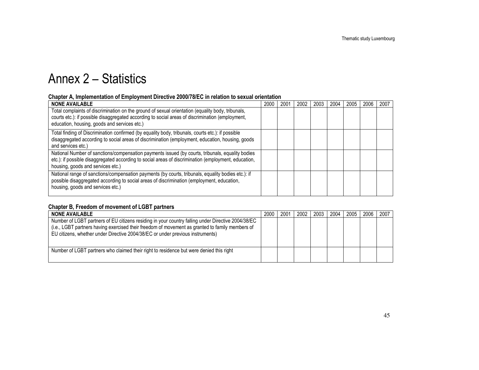## Annex 2 – Statistics

#### Chapter A, Implementation of Employment Directive 2000/78/EC in relation to sexual orientation

| <b>NONE AVAILABLE</b>                                                                                                                                                                                                                                 | 2000 | 200 | 2002 | 2003 | 2004 | 2005 | 2006 | 2007 |
|-------------------------------------------------------------------------------------------------------------------------------------------------------------------------------------------------------------------------------------------------------|------|-----|------|------|------|------|------|------|
| Total complaints of discrimination on the ground of sexual orientation (equality body, tribunals,<br>courts etc.): if possible disaggregated according to social areas of discrimination (employment,<br>education, housing, goods and services etc.) |      |     |      |      |      |      |      |      |
|                                                                                                                                                                                                                                                       |      |     |      |      |      |      |      |      |
| Total finding of Discrimination confirmed (by equality body, tribunals, courts etc.): if possible<br>disaggregated according to social areas of discrimination (employment, education, housing, goods<br>and services etc.)                           |      |     |      |      |      |      |      |      |
| National Number of sanctions/compensation payments issued (by courts, tribunals, equality bodies<br>etc.): if possible disaggregated according to social areas of discrimination (employment, education,<br>housing, goods and services etc.)         |      |     |      |      |      |      |      |      |
| National range of sanctions/compensation payments (by courts, tribunals, equality bodies etc.): if<br>possible disaggregated according to social areas of discrimination (employment, education,<br>housing, goods and services etc.)                 |      |     |      |      |      |      |      |      |

#### Chapter B, Freedom of movement of LGBT partners

| <b>NONE AVAILABLE</b>                                                                                                                                                                                                                                                                   | 2000 | 2001 | 2002 | 2003 | 2004 | 2005 | 2006 | 2007 |
|-----------------------------------------------------------------------------------------------------------------------------------------------------------------------------------------------------------------------------------------------------------------------------------------|------|------|------|------|------|------|------|------|
| Number of LGBT partners of EU citizens residing in your country falling under Directive 2004/38/EC<br>(i.e., LGBT partners having exercised their freedom of movement as granted to family members of<br>EU citizens, whether under Directive 2004/38/EC or under previous instruments) |      |      |      |      |      |      |      |      |
| Number of LGBT partners who claimed their right to residence but were denied this right                                                                                                                                                                                                 |      |      |      |      |      |      |      |      |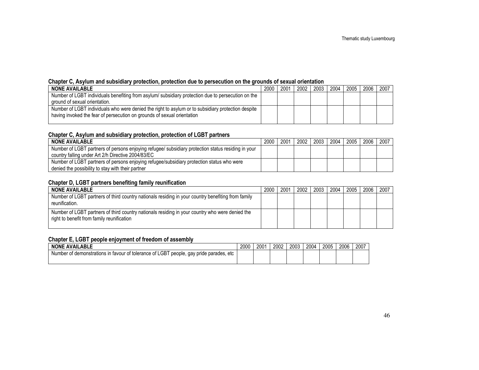#### Chapter C, Asylum and subsidiary protection, protection due to persecution on the grounds of sexual orientation

| <b>NONE AVAILABLE</b>                                                                              | 2000 | 2001 | 2002 | 2003 | 2004 | 2005 | 2006 | 2007 |
|----------------------------------------------------------------------------------------------------|------|------|------|------|------|------|------|------|
| Number of LGBT individuals benefiting from asylum/ subsidiary protection due to persecution on the |      |      |      |      |      |      |      |      |
| ground of sexual orientation.                                                                      |      |      |      |      |      |      |      |      |
| Number of LGBT individuals who were denied the right to asylum or to subsidiary protection despite |      |      |      |      |      |      |      |      |
| having invoked the fear of persecution on grounds of sexual orientation                            |      |      |      |      |      |      |      |      |
|                                                                                                    |      |      |      |      |      |      |      |      |

#### Chapter C, Asylum and subsidiary protection, protection of LGBT partners

| <b>NONE AVAILABLE</b>                                                                              | 2000 | 2001 | 2002 | 2003 | 2004 | 2005 | 2006 | 2007 |
|----------------------------------------------------------------------------------------------------|------|------|------|------|------|------|------|------|
| Number of LGBT partners of persons enjoying refugee/ subsidiary protection status residing in your |      |      |      |      |      |      |      |      |
| country falling under Art 2/h Directive 2004/83/EC                                                 |      |      |      |      |      |      |      |      |
| Number of LGBT partners of persons enjoying refugee/subsidiary protection status who were          |      |      |      |      |      |      |      |      |
| denied the possibility to stay with their partner                                                  |      |      |      |      |      |      |      |      |

#### Chapter D, LGBT partners benefiting family reunification

| <b>NONE AVAILABLE</b>                                                                                                                         | 2000 | 2001 | 2002 | 2003 | 2004 | 2005 | 2006 | 2007 |
|-----------------------------------------------------------------------------------------------------------------------------------------------|------|------|------|------|------|------|------|------|
| Number of LGBT partners of third country nationals residing in your country benefiting from family<br>reunification.                          |      |      |      |      |      |      |      |      |
| Number of LGBT partners of third country nationals residing in your country who were denied the<br>right to benefit from family reunification |      |      |      |      |      |      |      |      |

#### Chapter E, LGBT people enjoyment of freedom of assembly

| <b>NONE AVAILABLE</b>                                                                              | 2000 | 2001 | 2002 | 2003 | 2004 | 2005 | 2006 | 2007 |
|----------------------------------------------------------------------------------------------------|------|------|------|------|------|------|------|------|
| Number of demonstrations in favour of tolerance of LGBT pt.<br>people.<br>, gay pride parades, etc |      |      |      |      |      |      |      |      |
|                                                                                                    |      |      |      |      |      |      |      |      |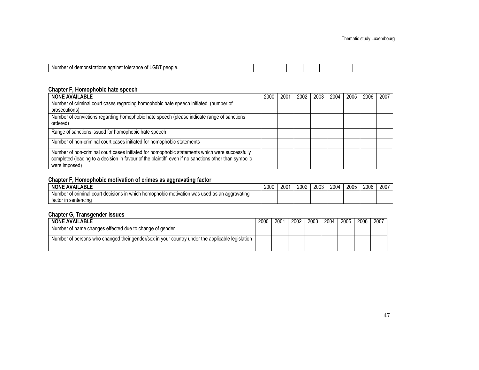| σn<br>people.<br>Nun<br><b>TAIRF</b><br>10. H.H<br>חדו<br>. . |  |  |  |  |
|---------------------------------------------------------------|--|--|--|--|
|                                                               |  |  |  |  |

#### Chapter F, Homophobic hate speech

| <b>NONE AVAILABLE</b>                                                                                                                                                                                                    | 2000 | 2001 | 2002 | 2003 | 2004 | 2005 | 2006 | 2007 |
|--------------------------------------------------------------------------------------------------------------------------------------------------------------------------------------------------------------------------|------|------|------|------|------|------|------|------|
| Number of criminal court cases regarding homophobic hate speech initiated (number of                                                                                                                                     |      |      |      |      |      |      |      |      |
| prosecutions)                                                                                                                                                                                                            |      |      |      |      |      |      |      |      |
| Number of convictions regarding homophobic hate speech (please indicate range of sanctions<br>ordered)                                                                                                                   |      |      |      |      |      |      |      |      |
| Range of sanctions issued for homophobic hate speech                                                                                                                                                                     |      |      |      |      |      |      |      |      |
| Number of non-criminal court cases initiated for homophobic statements                                                                                                                                                   |      |      |      |      |      |      |      |      |
| Number of non-criminal court cases initiated for homophobic statements which were successfully<br>completed (leading to a decision in favour of the plaintiff, even if no sanctions other than symbolic<br>were imposed) |      |      |      |      |      |      |      |      |

#### Chapter F, Homophobic motivation of crimes as aggravating factor

| <b>AVAILABLE</b><br><b>NONE</b>                                                                              | 2000 | 2001 | _ ר∩∩ר<br>ZUU2 | 2003 | 2004 | 2005 | 2006 | 2007 |
|--------------------------------------------------------------------------------------------------------------|------|------|----------------|------|------|------|------|------|
| Number of criminal d<br>n which homophobic motivation was used as an aggravating (<br>cour<br>' decisions in |      |      |                |      |      |      |      |      |
| in sentencing<br>tactor                                                                                      |      |      |                |      |      |      |      |      |

#### Chapter G, Transgender issues

| 2000 | 2001 | 2002 | 2003 | 2004 | 2005 | 2006 | 2007 |
|------|------|------|------|------|------|------|------|
|      |      |      |      |      |      |      |      |
|      |      |      |      |      |      |      |      |
|      |      |      |      |      |      |      |      |
|      |      |      |      |      |      |      |      |
|      |      |      |      |      |      |      |      |